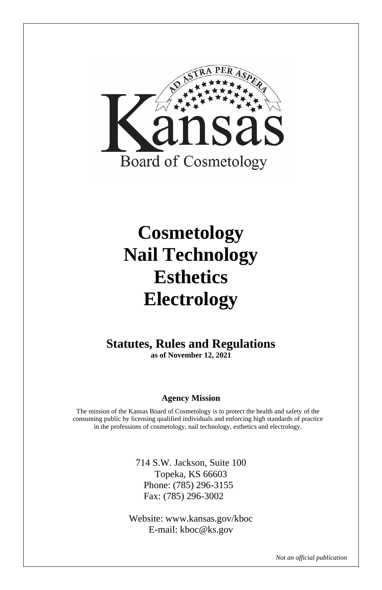

# **Cosmetology Nail Technology Esthetics Electrology**

**Statutes, Rules and Regulations as of November 12, 2021**

#### **Agency Mission**

The mission of the Kansas Board of Cosmetology is to protect the health and safety of the consuming public by licensing qualified individuals and enforcing high standards of practice in the professions of cosmetology, nail technology, esthetics and electrology.

> 714 S.W. Jackson, Suite 100 Topeka, KS 66603 Phone: (785) 296-3155 Fax: (785) 296-3002

Website: www.kansas.gov/kboc E-mail: kboc@ks.gov

*Not an official publication*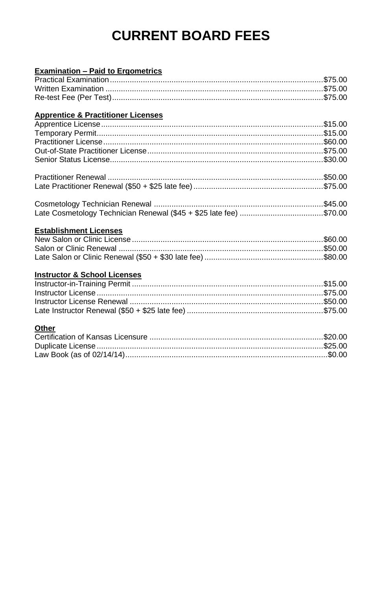# **CURRENT BOARD FEES**

# **Examination - Paid to Ergometrics**<br>**Prestigel Examination**

#### **Apprentice & Practitioner Licenses**

#### **Establishment Licenses**

#### **Instructor & School Licenses**

#### Other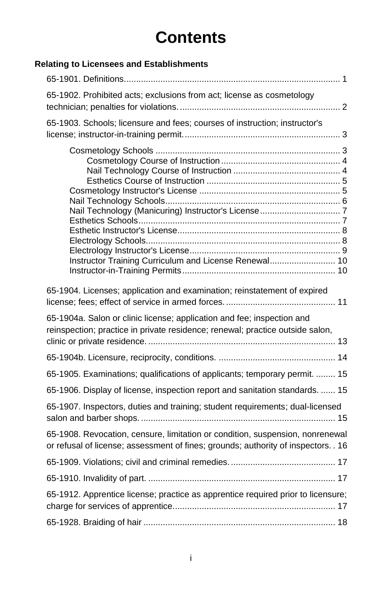# **Contents**

## **Relating to Licensees and Establishments**

| 65-1902. Prohibited acts; exclusions from act; license as cosmetology                                                                                               |
|---------------------------------------------------------------------------------------------------------------------------------------------------------------------|
| 65-1903. Schools; licensure and fees; courses of instruction; instructor's                                                                                          |
| Instructor Training Curriculum and License Renewal 10                                                                                                               |
| 65-1904. Licenses; application and examination; reinstatement of expired                                                                                            |
| 65-1904a. Salon or clinic license; application and fee; inspection and<br>reinspection; practice in private residence; renewal; practice outside salon,             |
|                                                                                                                                                                     |
| 65-1905. Examinations; qualifications of applicants; temporary permit.  15                                                                                          |
| 65-1906. Display of license, inspection report and sanitation standards.  15                                                                                        |
| 65-1907. Inspectors, duties and training; student requirements; dual-licensed                                                                                       |
| 65-1908. Revocation, censure, limitation or condition, suspension, nonrenewal<br>or refusal of license; assessment of fines; grounds; authority of inspectors. . 16 |
|                                                                                                                                                                     |
|                                                                                                                                                                     |
| 65-1912. Apprentice license; practice as apprentice required prior to licensure;                                                                                    |
|                                                                                                                                                                     |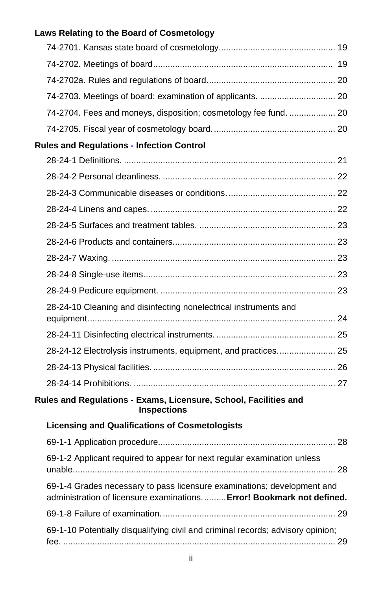| Laws Relating to the Board of Cosmetology                                                                                                        |  |
|--------------------------------------------------------------------------------------------------------------------------------------------------|--|
|                                                                                                                                                  |  |
|                                                                                                                                                  |  |
|                                                                                                                                                  |  |
| 74-2703. Meetings of board; examination of applicants.  20                                                                                       |  |
| 74-2704. Fees and moneys, disposition; cosmetology fee fund.  20                                                                                 |  |
|                                                                                                                                                  |  |
| <b>Rules and Regulations - Infection Control</b>                                                                                                 |  |
|                                                                                                                                                  |  |
|                                                                                                                                                  |  |
|                                                                                                                                                  |  |
|                                                                                                                                                  |  |
|                                                                                                                                                  |  |
|                                                                                                                                                  |  |
|                                                                                                                                                  |  |
|                                                                                                                                                  |  |
|                                                                                                                                                  |  |
| 28-24-10 Cleaning and disinfecting nonelectrical instruments and                                                                                 |  |
|                                                                                                                                                  |  |
| 28-24-12 Electrolysis instruments, equipment, and practices 25                                                                                   |  |
|                                                                                                                                                  |  |
|                                                                                                                                                  |  |
| Rules and Regulations - Exams, Licensure, School, Facilities and<br><b>Inspections</b>                                                           |  |
| <b>Licensing and Qualifications of Cosmetologists</b>                                                                                            |  |
|                                                                                                                                                  |  |
| 69-1-2 Applicant required to appear for next regular examination unless                                                                          |  |
| 69-1-4 Grades necessary to pass licensure examinations; development and<br>administration of licensure examinations Error! Bookmark not defined. |  |
|                                                                                                                                                  |  |
| 69-1-10 Potentially disqualifying civil and criminal records; advisory opinion;                                                                  |  |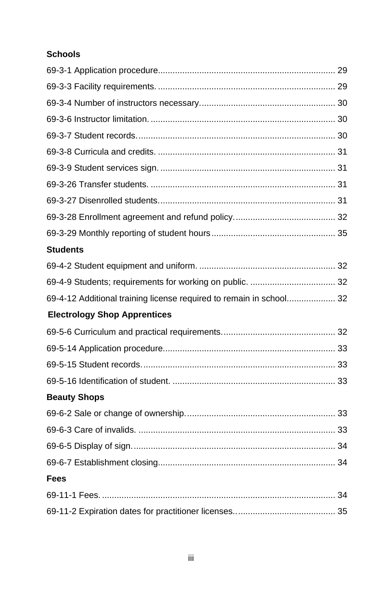## **Schools**

| <b>Students</b>                                                     |  |
|---------------------------------------------------------------------|--|
|                                                                     |  |
|                                                                     |  |
| 69-4-12 Additional training license required to remain in school 32 |  |
| <b>Electrology Shop Apprentices</b>                                 |  |
|                                                                     |  |
|                                                                     |  |
|                                                                     |  |
|                                                                     |  |
| <b>Beauty Shops</b>                                                 |  |
|                                                                     |  |
|                                                                     |  |
|                                                                     |  |
|                                                                     |  |
| Fees                                                                |  |
|                                                                     |  |
|                                                                     |  |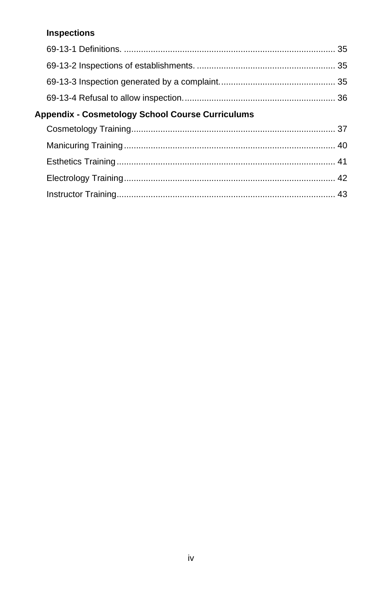### **Inspections**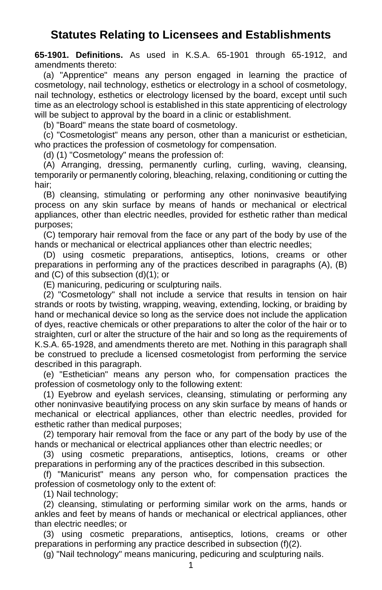## **Statutes Relating to Licensees and Establishments**

<span id="page-6-0"></span>**65-1901. Definitions.** As used in K.S.A. 65-1901 through 65-1912, and amendments thereto:

(a) "Apprentice" means any person engaged in learning the practice of cosmetology, nail technology, esthetics or electrology in a school of cosmetology, nail technology, esthetics or electrology licensed by the board, except until such time as an electrology school is established in this state apprenticing of electrology will be subject to approval by the board in a clinic or establishment.

(b) "Board" means the state board of cosmetology.

(c) "Cosmetologist" means any person, other than a manicurist or esthetician, who practices the profession of cosmetology for compensation.

(d) (1) "Cosmetology" means the profession of:

(A) Arranging, dressing, permanently curling, curling, waving, cleansing, temporarily or permanently coloring, bleaching, relaxing, conditioning or cutting the hair;

(B) cleansing, stimulating or performing any other noninvasive beautifying process on any skin surface by means of hands or mechanical or electrical appliances, other than electric needles, provided for esthetic rather than medical purposes;

(C) temporary hair removal from the face or any part of the body by use of the hands or mechanical or electrical appliances other than electric needles;

(D) using cosmetic preparations, antiseptics, lotions, creams or other preparations in performing any of the practices described in paragraphs (A), (B) and (C) of this subsection (d)(1); or

(E) manicuring, pedicuring or sculpturing nails.

(2) "Cosmetology" shall not include a service that results in tension on hair strands or roots by twisting, wrapping, weaving, extending, locking, or braiding by hand or mechanical device so long as the service does not include the application of dyes, reactive chemicals or other preparations to alter the color of the hair or to straighten, curl or alter the structure of the hair and so long as the requirements of K.S.A. 65-1928, and amendments thereto are met. Nothing in this paragraph shall be construed to preclude a licensed cosmetologist from performing the service described in this paragraph.

(e) "Esthetician" means any person who, for compensation practices the profession of cosmetology only to the following extent:

(1) Eyebrow and eyelash services, cleansing, stimulating or performing any other noninvasive beautifying process on any skin surface by means of hands or mechanical or electrical appliances, other than electric needles, provided for esthetic rather than medical purposes;

(2) temporary hair removal from the face or any part of the body by use of the hands or mechanical or electrical appliances other than electric needles; or

(3) using cosmetic preparations, antiseptics, lotions, creams or other preparations in performing any of the practices described in this subsection.

(f) "Manicurist" means any person who, for compensation practices the profession of cosmetology only to the extent of:

(1) Nail technology;

(2) cleansing, stimulating or performing similar work on the arms, hands or ankles and feet by means of hands or mechanical or electrical appliances, other than electric needles; or

(3) using cosmetic preparations, antiseptics, lotions, creams or other preparations in performing any practice described in subsection (f)(2).

(g) "Nail technology" means manicuring, pedicuring and sculpturing nails.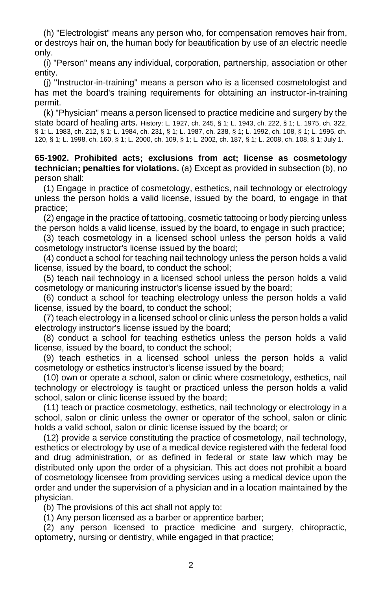(h) "Electrologist" means any person who, for compensation removes hair from, or destroys hair on, the human body for beautification by use of an electric needle only.

(i) "Person" means any individual, corporation, partnership, association or other entity.

(j) "Instructor-in-training" means a person who is a licensed cosmetologist and has met the board's training requirements for obtaining an instructor-in-training permit.

(k) "Physician" means a person licensed to practice medicine and surgery by the state board of healing arts. History: L. 1927, ch. 245, § 1; L. 1943, ch. 222, § 1; L. 1975, ch. 322, § 1; L. 1983, ch. 212, § 1; L. 1984, ch. 231, § 1; L. 1987, ch. 238, § 1; L. 1992, ch. 108, § 1; L. 1995, ch. 120, § 1; L. 1998, ch. 160, § 1; L. 2000, ch. 109, § 1; L. 2002, ch. 187, § 1; L. 2008, ch. 108, § 1; July 1.

<span id="page-7-0"></span>**65-1902. Prohibited acts; exclusions from act; license as cosmetology technician; penalties for violations.** (a) Except as provided in subsection (b), no person shall:

(1) Engage in practice of cosmetology, esthetics, nail technology or electrology unless the person holds a valid license, issued by the board, to engage in that practice;

(2) engage in the practice of tattooing, cosmetic tattooing or body piercing unless the person holds a valid license, issued by the board, to engage in such practice;

(3) teach cosmetology in a licensed school unless the person holds a valid cosmetology instructor's license issued by the board;

(4) conduct a school for teaching nail technology unless the person holds a valid license, issued by the board, to conduct the school;

(5) teach nail technology in a licensed school unless the person holds a valid cosmetology or manicuring instructor's license issued by the board;

(6) conduct a school for teaching electrology unless the person holds a valid license, issued by the board, to conduct the school;

(7) teach electrology in a licensed school or clinic unless the person holds a valid electrology instructor's license issued by the board;

(8) conduct a school for teaching esthetics unless the person holds a valid license, issued by the board, to conduct the school;

(9) teach esthetics in a licensed school unless the person holds a valid cosmetology or esthetics instructor's license issued by the board;

(10) own or operate a school, salon or clinic where cosmetology, esthetics, nail technology or electrology is taught or practiced unless the person holds a valid school, salon or clinic license issued by the board;

(11) teach or practice cosmetology, esthetics, nail technology or electrology in a school, salon or clinic unless the owner or operator of the school, salon or clinic holds a valid school, salon or clinic license issued by the board; or

(12) provide a service constituting the practice of cosmetology, nail technology, esthetics or electrology by use of a medical device registered with the federal food and drug administration, or as defined in federal or state law which may be distributed only upon the order of a physician. This act does not prohibit a board of cosmetology licensee from providing services using a medical device upon the order and under the supervision of a physician and in a location maintained by the physician.

(b) The provisions of this act shall not apply to:

(1) Any person licensed as a barber or apprentice barber;

(2) any person licensed to practice medicine and surgery, chiropractic, optometry, nursing or dentistry, while engaged in that practice;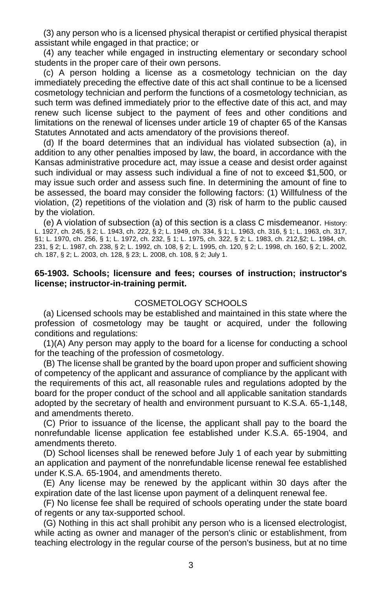(3) any person who is a licensed physical therapist or certified physical therapist assistant while engaged in that practice; or

(4) any teacher while engaged in instructing elementary or secondary school students in the proper care of their own persons.

(c) A person holding a license as a cosmetology technician on the day immediately preceding the effective date of this act shall continue to be a licensed cosmetology technician and perform the functions of a cosmetology technician, as such term was defined immediately prior to the effective date of this act, and may renew such license subject to the payment of fees and other conditions and limitations on the renewal of licenses under article 19 of chapter 65 of the Kansas Statutes Annotated and acts amendatory of the provisions thereof.

(d) If the board determines that an individual has violated subsection (a), in addition to any other penalties imposed by law, the board, in accordance with the Kansas administrative procedure act, may issue a cease and desist order against such individual or may assess such individual a fine of not to exceed \$1,500, or may issue such order and assess such fine. In determining the amount of fine to be assessed, the board may consider the following factors: (1) Willfulness of the violation, (2) repetitions of the violation and (3) risk of harm to the public caused by the violation.

(e) A violation of subsection (a) of this section is a class C misdemeanor. History: L. 1927, ch. 245, § 2; L. 1943, ch. 222, § 2; L. 1949, ch. 334, § 1; L. 1963, ch. 316, § 1; L. 1963, ch. 317, §1; L. 1970, ch. 256, § 1; L. 1972, ch. 232, § 1; L. 1975, ch. 322, § 2; L. 1983, ch. 212,§2; L. 1984, ch. 231, § 2; L. 1987, ch. 238, § 2; L. 1992, ch. 108, § 2; L. 1995, ch. 120, § 2; L. 1998, ch. 160, § 2; L. 2002, ch. 187, § 2; L. 2003, ch. 128, § 23; L. 2008, ch. 108, § 2; July 1.

#### <span id="page-8-0"></span>**65-1903. Schools; licensure and fees; courses of instruction; instructor's license; instructor-in-training permit.**

#### COSMETOLOGY SCHOOLS

(a) Licensed schools may be established and maintained in this state where the profession of cosmetology may be taught or acquired, under the following conditions and regulations:

(1)(A) Any person may apply to the board for a license for conducting a school for the teaching of the profession of cosmetology.

(B) The license shall be granted by the board upon proper and sufficient showing of competency of the applicant and assurance of compliance by the applicant with the requirements of this act, all reasonable rules and regulations adopted by the board for the proper conduct of the school and all applicable sanitation standards adopted by the secretary of health and environment pursuant to K.S.A. 65-1,148, and amendments thereto.

(C) Prior to issuance of the license, the applicant shall pay to the board the nonrefundable license application fee established under K.S.A. 65-1904, and amendments thereto.

(D) School licenses shall be renewed before July 1 of each year by submitting an application and payment of the nonrefundable license renewal fee established under K.S.A. 65-1904, and amendments thereto.

(E) Any license may be renewed by the applicant within 30 days after the expiration date of the last license upon payment of a delinquent renewal fee.

(F) No license fee shall be required of schools operating under the state board of regents or any tax-supported school.

(G) Nothing in this act shall prohibit any person who is a licensed electrologist, while acting as owner and manager of the person's clinic or establishment, from teaching electrology in the regular course of the person's business, but at no time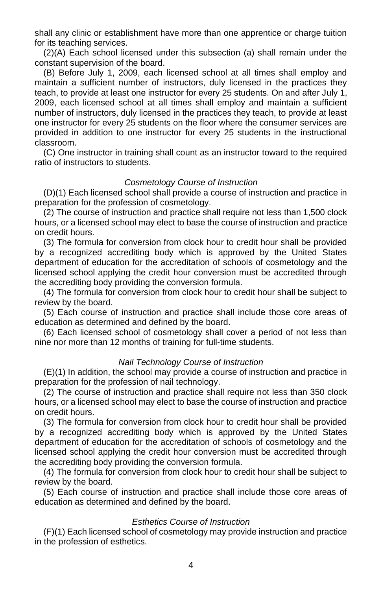shall any clinic or establishment have more than one apprentice or charge tuition for its teaching services.

(2)(A) Each school licensed under this subsection (a) shall remain under the constant supervision of the board.

(B) Before July 1, 2009, each licensed school at all times shall employ and maintain a sufficient number of instructors, duly licensed in the practices they teach, to provide at least one instructor for every 25 students. On and after July 1, 2009, each licensed school at all times shall employ and maintain a sufficient number of instructors, duly licensed in the practices they teach, to provide at least one instructor for every 25 students on the floor where the consumer services are provided in addition to one instructor for every 25 students in the instructional classroom.

(C) One instructor in training shall count as an instructor toward to the required ratio of instructors to students.

#### *Cosmetology Course of Instruction*

(D)(1) Each licensed school shall provide a course of instruction and practice in preparation for the profession of cosmetology.

(2) The course of instruction and practice shall require not less than 1,500 clock hours, or a licensed school may elect to base the course of instruction and practice on credit hours.

(3) The formula for conversion from clock hour to credit hour shall be provided by a recognized accrediting body which is approved by the United States department of education for the accreditation of schools of cosmetology and the licensed school applying the credit hour conversion must be accredited through the accrediting body providing the conversion formula.

(4) The formula for conversion from clock hour to credit hour shall be subject to review by the board.

(5) Each course of instruction and practice shall include those core areas of education as determined and defined by the board.

(6) Each licensed school of cosmetology shall cover a period of not less than nine nor more than 12 months of training for full-time students.

#### *Nail Technology Course of Instruction*

(E)(1) In addition, the school may provide a course of instruction and practice in preparation for the profession of nail technology.

(2) The course of instruction and practice shall require not less than 350 clock hours, or a licensed school may elect to base the course of instruction and practice on credit hours.

(3) The formula for conversion from clock hour to credit hour shall be provided by a recognized accrediting body which is approved by the United States department of education for the accreditation of schools of cosmetology and the licensed school applying the credit hour conversion must be accredited through the accrediting body providing the conversion formula.

(4) The formula for conversion from clock hour to credit hour shall be subject to review by the board.

(5) Each course of instruction and practice shall include those core areas of education as determined and defined by the board.

#### *Esthetics Course of Instruction*

(F)(1) Each licensed school of cosmetology may provide instruction and practice in the profession of esthetics.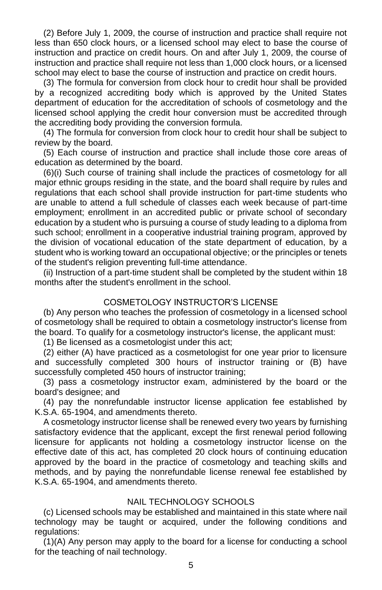(2) Before July 1, 2009, the course of instruction and practice shall require not less than 650 clock hours, or a licensed school may elect to base the course of instruction and practice on credit hours. On and after July 1, 2009, the course of instruction and practice shall require not less than 1,000 clock hours, or a licensed school may elect to base the course of instruction and practice on credit hours.

(3) The formula for conversion from clock hour to credit hour shall be provided by a recognized accrediting body which is approved by the United States department of education for the accreditation of schools of cosmetology and the licensed school applying the credit hour conversion must be accredited through the accrediting body providing the conversion formula.

(4) The formula for conversion from clock hour to credit hour shall be subject to review by the board.

(5) Each course of instruction and practice shall include those core areas of education as determined by the board.

(6)(i) Such course of training shall include the practices of cosmetology for all major ethnic groups residing in the state, and the board shall require by rules and regulations that each school shall provide instruction for part-time students who are unable to attend a full schedule of classes each week because of part-time employment; enrollment in an accredited public or private school of secondary education by a student who is pursuing a course of study leading to a diploma from such school; enrollment in a cooperative industrial training program, approved by the division of vocational education of the state department of education, by a student who is working toward an occupational objective; or the principles or tenets of the student's religion preventing full-time attendance.

(ii) Instruction of a part-time student shall be completed by the student within 18 months after the student's enrollment in the school.

#### COSMETOLOGY INSTRUCTOR'S LICENSE

(b) Any person who teaches the profession of cosmetology in a licensed school of cosmetology shall be required to obtain a cosmetology instructor's license from the board. To qualify for a cosmetology instructor's license, the applicant must:

(1) Be licensed as a cosmetologist under this act;

(2) either (A) have practiced as a cosmetologist for one year prior to licensure and successfully completed 300 hours of instructor training or (B) have successfully completed 450 hours of instructor training;

(3) pass a cosmetology instructor exam, administered by the board or the board's designee; and

(4) pay the nonrefundable instructor license application fee established by K.S.A. 65-1904, and amendments thereto.

A cosmetology instructor license shall be renewed every two years by furnishing satisfactory evidence that the applicant, except the first renewal period following licensure for applicants not holding a cosmetology instructor license on the effective date of this act, has completed 20 clock hours of continuing education approved by the board in the practice of cosmetology and teaching skills and methods, and by paying the nonrefundable license renewal fee established by K.S.A. 65-1904, and amendments thereto.

#### NAIL TECHNOLOGY SCHOOLS

(c) Licensed schools may be established and maintained in this state where nail technology may be taught or acquired, under the following conditions and regulations:

(1)(A) Any person may apply to the board for a license for conducting a school for the teaching of nail technology.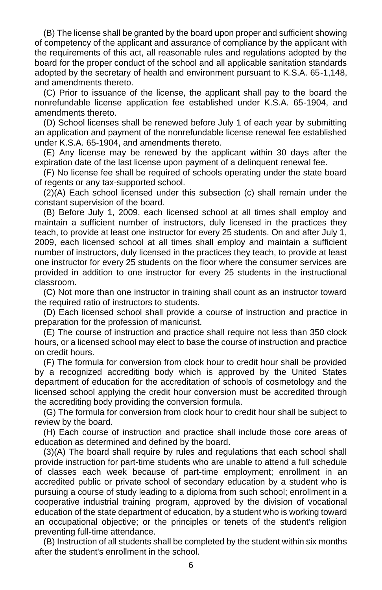(B) The license shall be granted by the board upon proper and sufficient showing of competency of the applicant and assurance of compliance by the applicant with the requirements of this act, all reasonable rules and regulations adopted by the board for the proper conduct of the school and all applicable sanitation standards adopted by the secretary of health and environment pursuant to K.S.A. 65-1,148, and amendments thereto.

(C) Prior to issuance of the license, the applicant shall pay to the board the nonrefundable license application fee established under K.S.A. 65-1904, and amendments thereto.

(D) School licenses shall be renewed before July 1 of each year by submitting an application and payment of the nonrefundable license renewal fee established under K.S.A. 65-1904, and amendments thereto.

(E) Any license may be renewed by the applicant within 30 days after the expiration date of the last license upon payment of a delinquent renewal fee.

(F) No license fee shall be required of schools operating under the state board of regents or any tax-supported school.

(2)(A) Each school licensed under this subsection (c) shall remain under the constant supervision of the board.

(B) Before July 1, 2009, each licensed school at all times shall employ and maintain a sufficient number of instructors, duly licensed in the practices they teach, to provide at least one instructor for every 25 students. On and after July 1, 2009, each licensed school at all times shall employ and maintain a sufficient number of instructors, duly licensed in the practices they teach, to provide at least one instructor for every 25 students on the floor where the consumer services are provided in addition to one instructor for every 25 students in the instructional classroom.

(C) Not more than one instructor in training shall count as an instructor toward the required ratio of instructors to students.

(D) Each licensed school shall provide a course of instruction and practice in preparation for the profession of manicurist.

(E) The course of instruction and practice shall require not less than 350 clock hours, or a licensed school may elect to base the course of instruction and practice on credit hours.

(F) The formula for conversion from clock hour to credit hour shall be provided by a recognized accrediting body which is approved by the United States department of education for the accreditation of schools of cosmetology and the licensed school applying the credit hour conversion must be accredited through the accrediting body providing the conversion formula.

(G) The formula for conversion from clock hour to credit hour shall be subject to review by the board.

(H) Each course of instruction and practice shall include those core areas of education as determined and defined by the board.

(3)(A) The board shall require by rules and regulations that each school shall provide instruction for part-time students who are unable to attend a full schedule of classes each week because of part-time employment; enrollment in an accredited public or private school of secondary education by a student who is pursuing a course of study leading to a diploma from such school; enrollment in a cooperative industrial training program, approved by the division of vocational education of the state department of education, by a student who is working toward an occupational objective; or the principles or tenets of the student's religion preventing full-time attendance.

(B) Instruction of all students shall be completed by the student within six months after the student's enrollment in the school.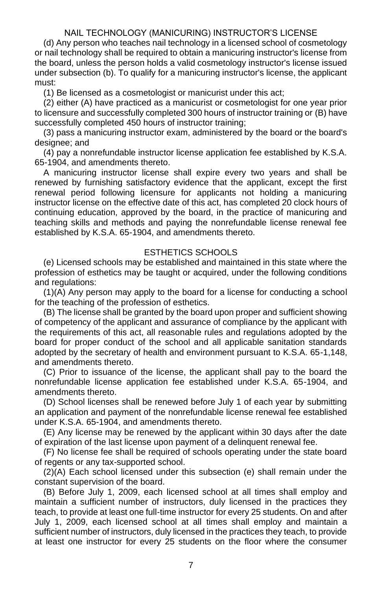#### NAIL TECHNOLOGY (MANICURING) INSTRUCTOR'S LICENSE

(d) Any person who teaches nail technology in a licensed school of cosmetology or nail technology shall be required to obtain a manicuring instructor's license from the board, unless the person holds a valid cosmetology instructor's license issued under subsection (b). To qualify for a manicuring instructor's license, the applicant must:

(1) Be licensed as a cosmetologist or manicurist under this act;

(2) either (A) have practiced as a manicurist or cosmetologist for one year prior to licensure and successfully completed 300 hours of instructor training or (B) have successfully completed 450 hours of instructor training;

(3) pass a manicuring instructor exam, administered by the board or the board's designee; and

(4) pay a nonrefundable instructor license application fee established by K.S.A. 65-1904, and amendments thereto.

A manicuring instructor license shall expire every two years and shall be renewed by furnishing satisfactory evidence that the applicant, except the first renewal period following licensure for applicants not holding a manicuring instructor license on the effective date of this act, has completed 20 clock hours of continuing education, approved by the board, in the practice of manicuring and teaching skills and methods and paying the nonrefundable license renewal fee established by K.S.A. 65-1904, and amendments thereto.

#### ESTHETICS SCHOOLS

(e) Licensed schools may be established and maintained in this state where the profession of esthetics may be taught or acquired, under the following conditions and regulations:

(1)(A) Any person may apply to the board for a license for conducting a school for the teaching of the profession of esthetics.

(B) The license shall be granted by the board upon proper and sufficient showing of competency of the applicant and assurance of compliance by the applicant with the requirements of this act, all reasonable rules and regulations adopted by the board for proper conduct of the school and all applicable sanitation standards adopted by the secretary of health and environment pursuant to K.S.A. 65-1,148, and amendments thereto.

(C) Prior to issuance of the license, the applicant shall pay to the board the nonrefundable license application fee established under K.S.A. 65-1904, and amendments thereto.

(D) School licenses shall be renewed before July 1 of each year by submitting an application and payment of the nonrefundable license renewal fee established under K.S.A. 65-1904, and amendments thereto.

(E) Any license may be renewed by the applicant within 30 days after the date of expiration of the last license upon payment of a delinquent renewal fee.

(F) No license fee shall be required of schools operating under the state board of regents or any tax-supported school.

(2)(A) Each school licensed under this subsection (e) shall remain under the constant supervision of the board.

(B) Before July 1, 2009, each licensed school at all times shall employ and maintain a sufficient number of instructors, duly licensed in the practices they teach, to provide at least one full-time instructor for every 25 students. On and after July 1, 2009, each licensed school at all times shall employ and maintain a sufficient number of instructors, duly licensed in the practices they teach, to provide at least one instructor for every 25 students on the floor where the consumer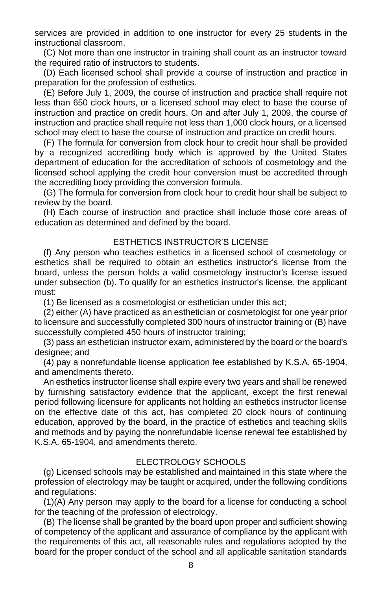services are provided in addition to one instructor for every 25 students in the instructional classroom.

(C) Not more than one instructor in training shall count as an instructor toward the required ratio of instructors to students.

(D) Each licensed school shall provide a course of instruction and practice in preparation for the profession of esthetics.

(E) Before July 1, 2009, the course of instruction and practice shall require not less than 650 clock hours, or a licensed school may elect to base the course of instruction and practice on credit hours. On and after July 1, 2009, the course of instruction and practice shall require not less than 1,000 clock hours, or a licensed school may elect to base the course of instruction and practice on credit hours.

(F) The formula for conversion from clock hour to credit hour shall be provided by a recognized accrediting body which is approved by the United States department of education for the accreditation of schools of cosmetology and the licensed school applying the credit hour conversion must be accredited through the accrediting body providing the conversion formula.

(G) The formula for conversion from clock hour to credit hour shall be subject to review by the board.

(H) Each course of instruction and practice shall include those core areas of education as determined and defined by the board.

#### ESTHETICS INSTRUCTOR'S LICENSE

(f) Any person who teaches esthetics in a licensed school of cosmetology or esthetics shall be required to obtain an esthetics instructor's license from the board, unless the person holds a valid cosmetology instructor's license issued under subsection (b). To qualify for an esthetics instructor's license, the applicant must:

(1) Be licensed as a cosmetologist or esthetician under this act;

(2) either (A) have practiced as an esthetician or cosmetologist for one year prior to licensure and successfully completed 300 hours of instructor training or (B) have successfully completed 450 hours of instructor training;

(3) pass an esthetician instructor exam, administered by the board or the board's designee; and

(4) pay a nonrefundable license application fee established by K.S.A. 65-1904, and amendments thereto.

An esthetics instructor license shall expire every two years and shall be renewed by furnishing satisfactory evidence that the applicant, except the first renewal period following licensure for applicants not holding an esthetics instructor license on the effective date of this act, has completed 20 clock hours of continuing education, approved by the board, in the practice of esthetics and teaching skills and methods and by paying the nonrefundable license renewal fee established by K.S.A. 65-1904, and amendments thereto.

#### ELECTROLOGY SCHOOLS

(g) Licensed schools may be established and maintained in this state where the profession of electrology may be taught or acquired, under the following conditions and regulations:

(1)(A) Any person may apply to the board for a license for conducting a school for the teaching of the profession of electrology.

(B) The license shall be granted by the board upon proper and sufficient showing of competency of the applicant and assurance of compliance by the applicant with the requirements of this act, all reasonable rules and regulations adopted by the board for the proper conduct of the school and all applicable sanitation standards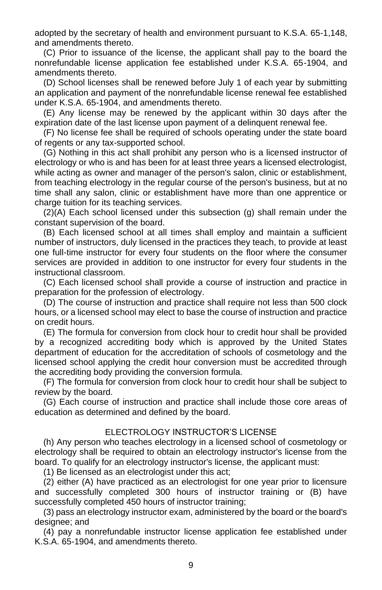adopted by the secretary of health and environment pursuant to K.S.A. 65-1,148, and amendments thereto.

(C) Prior to issuance of the license, the applicant shall pay to the board the nonrefundable license application fee established under K.S.A. 65-1904, and amendments thereto.

(D) School licenses shall be renewed before July 1 of each year by submitting an application and payment of the nonrefundable license renewal fee established under K.S.A. 65-1904, and amendments thereto.

(E) Any license may be renewed by the applicant within 30 days after the expiration date of the last license upon payment of a delinquent renewal fee.

(F) No license fee shall be required of schools operating under the state board of regents or any tax-supported school.

(G) Nothing in this act shall prohibit any person who is a licensed instructor of electrology or who is and has been for at least three years a licensed electrologist, while acting as owner and manager of the person's salon, clinic or establishment, from teaching electrology in the regular course of the person's business, but at no time shall any salon, clinic or establishment have more than one apprentice or charge tuition for its teaching services.

(2)(A) Each school licensed under this subsection (g) shall remain under the constant supervision of the board.

(B) Each licensed school at all times shall employ and maintain a sufficient number of instructors, duly licensed in the practices they teach, to provide at least one full-time instructor for every four students on the floor where the consumer services are provided in addition to one instructor for every four students in the instructional classroom.

(C) Each licensed school shall provide a course of instruction and practice in preparation for the profession of electrology.

(D) The course of instruction and practice shall require not less than 500 clock hours, or a licensed school may elect to base the course of instruction and practice on credit hours.

(E) The formula for conversion from clock hour to credit hour shall be provided by a recognized accrediting body which is approved by the United States department of education for the accreditation of schools of cosmetology and the licensed school applying the credit hour conversion must be accredited through the accrediting body providing the conversion formula.

(F) The formula for conversion from clock hour to credit hour shall be subject to review by the board.

(G) Each course of instruction and practice shall include those core areas of education as determined and defined by the board.

#### ELECTROLOGY INSTRUCTOR'S LICENSE

(h) Any person who teaches electrology in a licensed school of cosmetology or electrology shall be required to obtain an electrology instructor's license from the board. To qualify for an electrology instructor's license, the applicant must:

(1) Be licensed as an electrologist under this act;

(2) either (A) have practiced as an electrologist for one year prior to licensure and successfully completed 300 hours of instructor training or (B) have successfully completed 450 hours of instructor training;

(3) pass an electrology instructor exam, administered by the board or the board's designee; and

(4) pay a nonrefundable instructor license application fee established under K.S.A. 65-1904, and amendments thereto.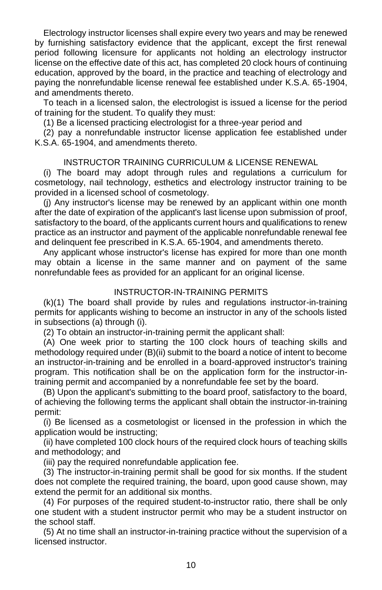Electrology instructor licenses shall expire every two years and may be renewed by furnishing satisfactory evidence that the applicant, except the first renewal period following licensure for applicants not holding an electrology instructor license on the effective date of this act, has completed 20 clock hours of continuing education, approved by the board, in the practice and teaching of electrology and paying the nonrefundable license renewal fee established under K.S.A. 65-1904, and amendments thereto.

To teach in a licensed salon, the electrologist is issued a license for the period of training for the student. To qualify they must:

(1) Be a licensed practicing electrologist for a three-year period and

(2) pay a nonrefundable instructor license application fee established under K.S.A. 65-1904, and amendments thereto.

#### INSTRUCTOR TRAINING CURRICULUM & LICENSE RENEWAL

(i) The board may adopt through rules and regulations a curriculum for cosmetology, nail technology, esthetics and electrology instructor training to be provided in a licensed school of cosmetology.

(j) Any instructor's license may be renewed by an applicant within one month after the date of expiration of the applicant's last license upon submission of proof, satisfactory to the board, of the applicants current hours and qualifications to renew practice as an instructor and payment of the applicable nonrefundable renewal fee and delinquent fee prescribed in K.S.A. 65-1904, and amendments thereto.

Any applicant whose instructor's license has expired for more than one month may obtain a license in the same manner and on payment of the same nonrefundable fees as provided for an applicant for an original license.

#### INSTRUCTOR-IN-TRAINING PERMITS

(k)(1) The board shall provide by rules and regulations instructor-in-training permits for applicants wishing to become an instructor in any of the schools listed in subsections (a) through (i).

(2) To obtain an instructor-in-training permit the applicant shall:

(A) One week prior to starting the 100 clock hours of teaching skills and methodology required under (B)(ii) submit to the board a notice of intent to become an instructor-in-training and be enrolled in a board-approved instructor's training program. This notification shall be on the application form for the instructor-intraining permit and accompanied by a nonrefundable fee set by the board.

(B) Upon the applicant's submitting to the board proof, satisfactory to the board, of achieving the following terms the applicant shall obtain the instructor-in-training permit:

(i) Be licensed as a cosmetologist or licensed in the profession in which the application would be instructing;

(ii) have completed 100 clock hours of the required clock hours of teaching skills and methodology; and

(iii) pay the required nonrefundable application fee.

(3) The instructor-in-training permit shall be good for six months. If the student does not complete the required training, the board, upon good cause shown, may extend the permit for an additional six months.

(4) For purposes of the required student-to-instructor ratio, there shall be only one student with a student instructor permit who may be a student instructor on the school staff.

(5) At no time shall an instructor-in-training practice without the supervision of a licensed instructor.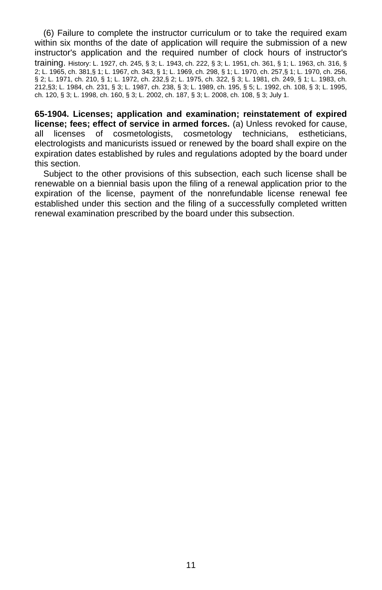(6) Failure to complete the instructor curriculum or to take the required exam within six months of the date of application will require the submission of a new instructor's application and the required number of clock hours of instructor's training. History: L. 1927, ch. 245, § 3; L. 1943, ch. 222, § 3; L. 1951, ch. 361, § 1; L. 1963, ch. 316, § 2; L. 1965, ch. 381,§ 1; L. 1967, ch. 343, § 1; L. 1969, ch. 298, § 1; L. 1970, ch. 257,§ 1; L. 1970, ch. 256, § 2; L. 1971, ch. 210, § 1; L. 1972, ch. 232,§ 2; L. 1975, ch. 322, § 3; L. 1981, ch. 249, § 1; L. 1983, ch. 212,§3; L. 1984, ch. 231, § 3; L. 1987, ch. 238, § 3; L. 1989, ch. 195, § 5; L. 1992, ch. 108, § 3; L. 1995, ch. 120, § 3; L. 1998, ch. 160, § 3; L. 2002, ch. 187, § 3; L. 2008, ch. 108, § 3; July 1.

<span id="page-16-0"></span>**65-1904. Licenses; application and examination; reinstatement of expired license; fees; effect of service in armed forces.** (a) Unless revoked for cause, all licenses of cosmetologists, cosmetology technicians, estheticians, electrologists and manicurists issued or renewed by the board shall expire on the expiration dates established by rules and regulations adopted by the board under this section.

Subject to the other provisions of this subsection, each such license shall be renewable on a biennial basis upon the filing of a renewal application prior to the expiration of the license, payment of the nonrefundable license renewal fee established under this section and the filing of a successfully completed written renewal examination prescribed by the board under this subsection.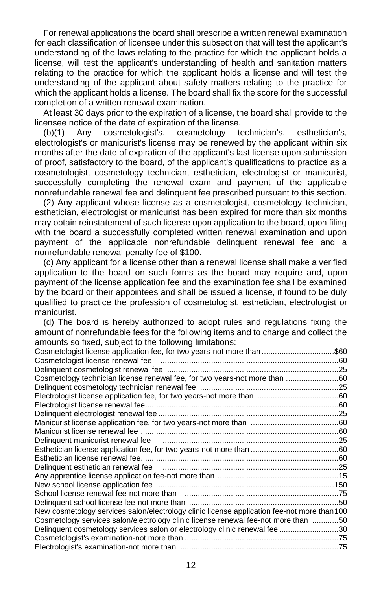For renewal applications the board shall prescribe a written renewal examination for each classification of licensee under this subsection that will test the applicant's understanding of the laws relating to the practice for which the applicant holds a license, will test the applicant's understanding of health and sanitation matters relating to the practice for which the applicant holds a license and will test the understanding of the applicant about safety matters relating to the practice for which the applicant holds a license. The board shall fix the score for the successful completion of a written renewal examination.

At least 30 days prior to the expiration of a license, the board shall provide to the licensee notice of the date of expiration of the license.<br>(b)(1) Any cosmetologist's, cosmetology to

(b)(1) Any cosmetologist's, cosmetology technician's, esthetician's, electrologist's or manicurist's license may be renewed by the applicant within six months after the date of expiration of the applicant's last license upon submission of proof, satisfactory to the board, of the applicant's qualifications to practice as a cosmetologist, cosmetology technician, esthetician, electrologist or manicurist, successfully completing the renewal exam and payment of the applicable nonrefundable renewal fee and delinquent fee prescribed pursuant to this section.

(2) Any applicant whose license as a cosmetologist, cosmetology technician, esthetician, electrologist or manicurist has been expired for more than six months may obtain reinstatement of such license upon application to the board, upon filing with the board a successfully completed written renewal examination and upon payment of the applicable nonrefundable delinquent renewal fee and a nonrefundable renewal penalty fee of \$100.

(c) Any applicant for a license other than a renewal license shall make a verified application to the board on such forms as the board may require and, upon payment of the license application fee and the examination fee shall be examined by the board or their appointees and shall be issued a license, if found to be duly qualified to practice the profession of cosmetologist, esthetician, electrologist or manicurist.

(d) The board is hereby authorized to adopt rules and regulations fixing the amount of nonrefundable fees for the following items and to charge and collect the amounts so fixed, subject to the following limitations:

| <u>so into at babloot to the following illimation</u>                                                         |  |
|---------------------------------------------------------------------------------------------------------------|--|
| Cosmetologist license application fee, for two years-not more than \$60                                       |  |
|                                                                                                               |  |
|                                                                                                               |  |
| Cosmetology technician license renewal fee, for two years-not more than 60                                    |  |
|                                                                                                               |  |
|                                                                                                               |  |
|                                                                                                               |  |
|                                                                                                               |  |
|                                                                                                               |  |
|                                                                                                               |  |
| Delinquent manicurist renewal fee manufactured and the manufactured and the Delinquent manicurist renewal fee |  |
|                                                                                                               |  |
|                                                                                                               |  |
|                                                                                                               |  |
|                                                                                                               |  |
|                                                                                                               |  |
|                                                                                                               |  |
|                                                                                                               |  |
| New cosmetology services salon/electrology clinic license application fee-not more than 100                   |  |
| Cosmetology services salon/electrology clinic license renewal fee-not more than 50                            |  |
| Delinquent cosmetology services salon or electrology clinic renewal fee 30                                    |  |
|                                                                                                               |  |
|                                                                                                               |  |
|                                                                                                               |  |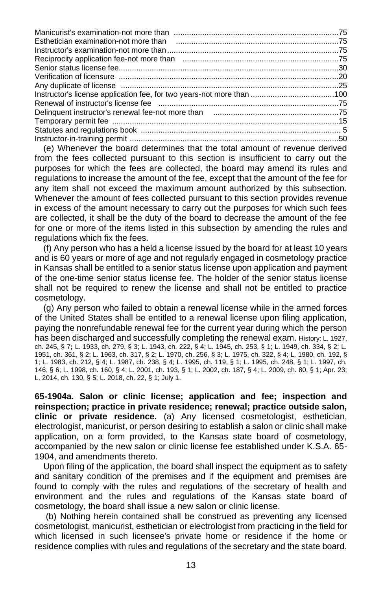(e) Whenever the board determines that the total amount of revenue derived from the fees collected pursuant to this section is insufficient to carry out the purposes for which the fees are collected, the board may amend its rules and regulations to increase the amount of the fee, except that the amount of the fee for any item shall not exceed the maximum amount authorized by this subsection. Whenever the amount of fees collected pursuant to this section provides revenue in excess of the amount necessary to carry out the purposes for which such fees are collected, it shall be the duty of the board to decrease the amount of the fee for one or more of the items listed in this subsection by amending the rules and regulations which fix the fees.

(f) Any person who has a held a license issued by the board for at least 10 years and is 60 years or more of age and not regularly engaged in cosmetology practice in Kansas shall be entitled to a senior status license upon application and payment of the one-time senior status license fee. The holder of the senior status license shall not be required to renew the license and shall not be entitled to practice cosmetology.

(g) Any person who failed to obtain a renewal license while in the armed forces of the United States shall be entitled to a renewal license upon filing application, paying the nonrefundable renewal fee for the current year during which the person has been discharged and successfully completing the renewal exam. History: L. 1927, ch. 245, § 7**;** L. 1933, ch. 279, § 3; L. 1943, ch. 222, § 4; L. 1945, ch. 253, § 1; L. 1949, ch. 334, § 2; L. 1951, ch. 361, § 2; L. 1963, ch. 317, § 2; L. 1970, ch. 256, § 3; L. 1975, ch. 322, § 4; L. 1980, ch. 192, § 1; L. 1983, ch. 212, § 4; L. 1987, ch. 238, § 4; L. 1995, ch. 119, § 1; L. 1995, ch. 248, § 1; L. 1997, ch. 146, § 6; L. 1998, ch. 160, § 4; L. 2001, ch. 193, § 1; L. 2002, ch. 187, § 4; L. 2009, ch. 80, § 1; Apr. 23; L. 2014, ch. 130, § 5; L. 2018, ch. 22, § 1; July 1.

<span id="page-18-0"></span>**65-1904a. Salon or clinic license; application and fee; inspection and reinspection; practice in private residence; renewal; practice outside salon, clinic or private residence.** (a) Any licensed cosmetologist, esthetician, electrologist, manicurist, or person desiring to establish a salon or clinic shall make application, on a form provided, to the Kansas state board of cosmetology, accompanied by the new salon or clinic license fee established under K.S.A. 65- 1904, and amendments thereto.

Upon filing of the application, the board shall inspect the equipment as to safety and sanitary condition of the premises and if the equipment and premises are found to comply with the rules and regulations of the secretary of health and environment and the rules and regulations of the Kansas state board of cosmetology, the board shall issue a new salon or clinic license.

(b) Nothing herein contained shall be construed as preventing any licensed cosmetologist, manicurist, esthetician or electrologist from practicing in the field for which licensed in such licensee's private home or residence if the home or residence complies with rules and regulations of the secretary and the state board.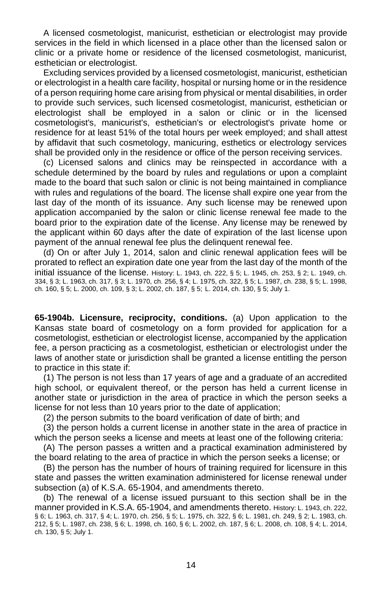A licensed cosmetologist, manicurist, esthetician or electrologist may provide services in the field in which licensed in a place other than the licensed salon or clinic or a private home or residence of the licensed cosmetologist, manicurist, esthetician or electrologist.

Excluding services provided by a licensed cosmetologist, manicurist, esthetician or electrologist in a health care facility, hospital or nursing home or in the residence of a person requiring home care arising from physical or mental disabilities, in order to provide such services, such licensed cosmetologist, manicurist, esthetician or electrologist shall be employed in a salon or clinic or in the licensed cosmetologist's, manicurist's, esthetician's or electrologist's private home or residence for at least 51% of the total hours per week employed; and shall attest by affidavit that such cosmetology, manicuring, esthetics or electrology services shall be provided only in the residence or office of the person receiving services.

(c) Licensed salons and clinics may be reinspected in accordance with a schedule determined by the board by rules and regulations or upon a complaint made to the board that such salon or clinic is not being maintained in compliance with rules and regulations of the board. The license shall expire one year from the last day of the month of its issuance. Any such license may be renewed upon application accompanied by the salon or clinic license renewal fee made to the board prior to the expiration date of the license. Any license may be renewed by the applicant within 60 days after the date of expiration of the last license upon payment of the annual renewal fee plus the delinquent renewal fee.

(d) On or after July 1, 2014, salon and clinic renewal application fees will be prorated to reflect an expiration date one year from the last day of the month of the initial issuance of the license. History: L. 1943, ch. 222, § 5; L. 1945, ch. 253, § 2; L. 1949, ch. 334, § 3; L. 1963, ch. 317, § 3; L. 1970, ch. 256, § 4; L. 1975, ch. 322, § 5; L. 1987, ch. 238, § 5; L. 1998, ch. 160, § 5; L. 2000, ch. 109, § 3; L. 2002, ch. 187, § 5; L. 2014, ch. 130, § 5; July 1.

<span id="page-19-0"></span>**65-1904b. Licensure, reciprocity, conditions.** (a) Upon application to the Kansas state board of cosmetology on a form provided for application for a cosmetologist, esthetician or electrologist license, accompanied by the application fee, a person practicing as a cosmetologist, esthetician or electrologist under the laws of another state or jurisdiction shall be granted a license entitling the person to practice in this state if:

(1) The person is not less than 17 years of age and a graduate of an accredited high school, or equivalent thereof, or the person has held a current license in another state or jurisdiction in the area of practice in which the person seeks a license for not less than 10 years prior to the date of application;

(2) the person submits to the board verification of date of birth; and

(3) the person holds a current license in another state in the area of practice in which the person seeks a license and meets at least one of the following criteria:

(A) The person passes a written and a practical examination administered by the board relating to the area of practice in which the person seeks a license; or

(B) the person has the number of hours of training required for licensure in this state and passes the written examination administered for license renewal under subsection (a) of K.S.A. 65-1904, and amendments thereto.

(b) The renewal of a license issued pursuant to this section shall be in the manner provided in K.S.A. 65-1904, and amendments thereto. History: L. 1943, ch. 222, § 6; L. 1963, ch. 317, § 4; L. 1970, ch. 256, § 5; L. 1975, ch. 322, § 6; L. 1981, ch. 249, § 2; L. 1983, ch. 212, § 5; L. 1987, ch. 238, § 6; L. 1998, ch. 160, § 6; L. 2002, ch. 187, § 6; L. 2008, ch. 108, § 4; L. 2014, ch. 130, § 5; July 1.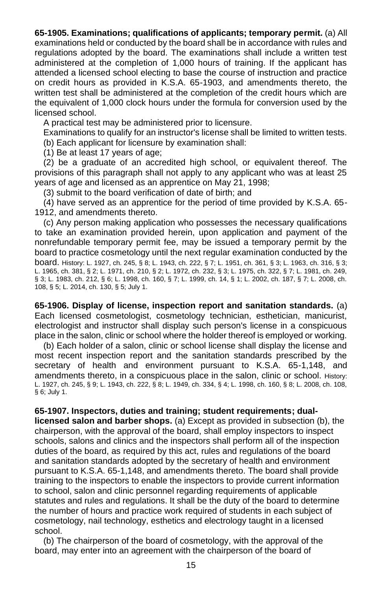<span id="page-20-0"></span>**65-1905. Examinations; qualifications of applicants; temporary permit.** (a) All examinations held or conducted by the board shall be in accordance with rules and regulations adopted by the board. The examinations shall include a written test administered at the completion of 1,000 hours of training. If the applicant has attended a licensed school electing to base the course of instruction and practice on credit hours as provided in K.S.A. 65-1903, and amendments thereto, the written test shall be administered at the completion of the credit hours which are the equivalent of 1,000 clock hours under the formula for conversion used by the licensed school.

A practical test may be administered prior to licensure.

Examinations to qualify for an instructor's license shall be limited to written tests.

(b) Each applicant for licensure by examination shall:

(1) Be at least 17 years of age;

(2) be a graduate of an accredited high school, or equivalent thereof. The provisions of this paragraph shall not apply to any applicant who was at least 25 years of age and licensed as an apprentice on May 21, 1998;

(3) submit to the board verification of date of birth; and

(4) have served as an apprentice for the period of time provided by K.S.A. 65- 1912, and amendments thereto.

(c) Any person making application who possesses the necessary qualifications to take an examination provided herein, upon application and payment of the nonrefundable temporary permit fee, may be issued a temporary permit by the board to practice cosmetology until the next regular examination conducted by the board. History: L. 1927, ch. 245, § 8; L. 1943, ch. 222, § 7; L. 1951, ch. 361, § 3; L. 1963, ch. 316, § 3; L. 1965, ch. 381, § 2; L. 1971, ch. 210, § 2; L. 1972, ch. 232, § 3; L. 1975, ch. 322, § 7; L. 1981, ch. 249, § 3; L. 1983, ch. 212, § 6; L. 1998, ch. 160, § 7; L. 1999, ch. 14, § 1; L. 2002, ch. 187, § 7; L. 2008, ch. 108, § 5; L. 2014, ch. 130, § 5; July 1.

<span id="page-20-1"></span>**65-1906. Display of license, inspection report and sanitation standards.** (a) Each licensed cosmetologist, cosmetology technician, esthetician, manicurist, electrologist and instructor shall display such person's license in a conspicuous place in the salon, clinic or school where the holder thereof is employed or working.

(b) Each holder of a salon, clinic or school license shall display the license and most recent inspection report and the sanitation standards prescribed by the secretary of health and environment pursuant to K.S.A. 65-1,148, and amendments thereto, in a conspicuous place in the salon, clinic or school. History: L. 1927, ch. 245, § 9; L. 1943, ch. 222, § 8; L. 1949, ch. 334, § 4; L. 1998, ch. 160, § 8; L. 2008, ch. 108, § 6; July 1.

<span id="page-20-2"></span>**65-1907. Inspectors, duties and training; student requirements; duallicensed salon and barber shops.** (a) Except as provided in subsection (b), the chairperson, with the approval of the board, shall employ inspectors to inspect schools, salons and clinics and the inspectors shall perform all of the inspection duties of the board, as required by this act, rules and regulations of the board and sanitation standards adopted by the secretary of health and environment pursuant to K.S.A. 65-1,148, and amendments thereto. The board shall provide training to the inspectors to enable the inspectors to provide current information to school, salon and clinic personnel regarding requirements of applicable statutes and rules and regulations. It shall be the duty of the board to determine the number of hours and practice work required of students in each subject of cosmetology, nail technology, esthetics and electrology taught in a licensed school.

(b) The chairperson of the board of cosmetology, with the approval of the board, may enter into an agreement with the chairperson of the board of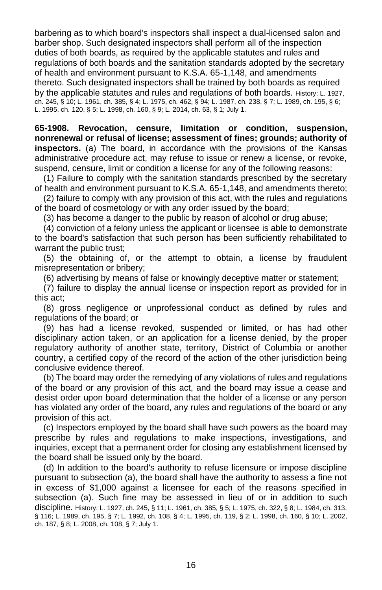barbering as to which board's inspectors shall inspect a dual-licensed salon and barber shop. Such designated inspectors shall perform all of the inspection duties of both boards, as required by the applicable statutes and rules and regulations of both boards and the sanitation standards adopted by the secretary of health and environment pursuant to K.S.A. 65-1,148, and amendments thereto. Such designated inspectors shall be trained by both boards as required by the applicable statutes and rules and regulations of both boards. History: L. 1927, ch. 245, § 10; L. 1961, ch. 385, § 4; L. 1975, ch. 462, § 94; L. 1987, ch. 238, § 7; L. 1989, ch. 195, § 6; L. 1995, ch. 120, § 5; L. 1998, ch. 160, § 9; L. 2014, ch. 63, § 1; July 1.

<span id="page-21-0"></span>**65-1908. Revocation, censure, limitation or condition, suspension, nonrenewal or refusal of license; assessment of fines; grounds; authority of inspectors.** (a) The board, in accordance with the provisions of the Kansas administrative procedure act, may refuse to issue or renew a license, or revoke, suspend, censure, limit or condition a license for any of the following reasons:

(1) Failure to comply with the sanitation standards prescribed by the secretary of health and environment pursuant to K.S.A. 65-1,148, and amendments thereto;

(2) failure to comply with any provision of this act, with the rules and regulations of the board of cosmetology or with any order issued by the board;

(3) has become a danger to the public by reason of alcohol or drug abuse;

(4) conviction of a felony unless the applicant or licensee is able to demonstrate to the board's satisfaction that such person has been sufficiently rehabilitated to warrant the public trust;

(5) the obtaining of, or the attempt to obtain, a license by fraudulent misrepresentation or bribery;

(6) advertising by means of false or knowingly deceptive matter or statement;

(7) failure to display the annual license or inspection report as provided for in this act;

(8) gross negligence or unprofessional conduct as defined by rules and regulations of the board; or

(9) has had a license revoked, suspended or limited, or has had other disciplinary action taken, or an application for a license denied, by the proper regulatory authority of another state, territory, District of Columbia or another country, a certified copy of the record of the action of the other jurisdiction being conclusive evidence thereof.

(b) The board may order the remedying of any violations of rules and regulations of the board or any provision of this act, and the board may issue a cease and desist order upon board determination that the holder of a license or any person has violated any order of the board, any rules and regulations of the board or any provision of this act.

(c) Inspectors employed by the board shall have such powers as the board may prescribe by rules and regulations to make inspections, investigations, and inquiries, except that a permanent order for closing any establishment licensed by the board shall be issued only by the board.

(d) In addition to the board's authority to refuse licensure or impose discipline pursuant to subsection (a), the board shall have the authority to assess a fine not in excess of \$1,000 against a licensee for each of the reasons specified in subsection (a). Such fine may be assessed in lieu of or in addition to such discipline. History: L. 1927, ch. 245, § 11; L. 1961, ch. 385, § 5; L. 1975, ch. 322, § 8; L. 1984, ch. 313, § 116; L. 1989, ch. 195, § 7; L. 1992, ch. 108, § 4; L. 1995, ch. 119, § 2; L. 1998, ch. 160, § 10; L. 2002, ch. 187, § 8; L. 2008, ch. 108, § 7; July 1.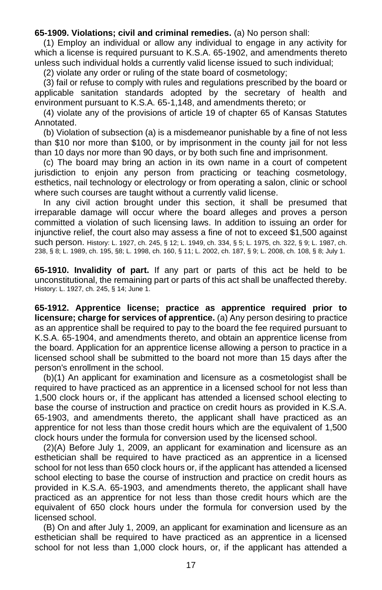#### <span id="page-22-0"></span>**65-1909. Violations; civil and criminal remedies.** (a) No person shall:

(1) Employ an individual or allow any individual to engage in any activity for which a license is required pursuant to K.S.A. 65-1902, and amendments thereto unless such individual holds a currently valid license issued to such individual;

(2) violate any order or ruling of the state board of cosmetology;

(3) fail or refuse to comply with rules and regulations prescribed by the board or applicable sanitation standards adopted by the secretary of health and environment pursuant to K.S.A. 65-1,148, and amendments thereto; or

(4) violate any of the provisions of article 19 of chapter 65 of Kansas Statutes Annotated.

(b) Violation of subsection (a) is a misdemeanor punishable by a fine of not less than \$10 nor more than \$100, or by imprisonment in the county jail for not less than 10 days nor more than 90 days, or by both such fine and imprisonment.

(c) The board may bring an action in its own name in a court of competent jurisdiction to enjoin any person from practicing or teaching cosmetology, esthetics, nail technology or electrology or from operating a salon, clinic or school where such courses are taught without a currently valid license.

In any civil action brought under this section, it shall be presumed that irreparable damage will occur where the board alleges and proves a person committed a violation of such licensing laws. In addition to issuing an order for injunctive relief, the court also may assess a fine of not to exceed \$1,500 against such person. History: L. 1927, ch. 245, § 12; L. 1949, ch. 334, § 5; L. 1975, ch. 322, § 9; L. 1987, ch. 238, § 8; L. 1989, ch. 195, §8; L. 1998, ch. 160, § 11; L. 2002, ch. 187, § 9; L. 2008, ch. 108, § 8; July 1.

<span id="page-22-1"></span>**65-1910. Invalidity of part.** If any part or parts of this act be held to be unconstitutional, the remaining part or parts of this act shall be unaffected thereby. History: L. 1927, ch. 245, § 14; June 1.

<span id="page-22-2"></span>**65-1912. Apprentice license; practice as apprentice required prior to licensure; charge for services of apprentice.** (a) Any person desiring to practice as an apprentice shall be required to pay to the board the fee required pursuant to K.S.A. 65-1904, and amendments thereto, and obtain an apprentice license from the board. Application for an apprentice license allowing a person to practice in a licensed school shall be submitted to the board not more than 15 days after the person's enrollment in the school.

(b)(1) An applicant for examination and licensure as a cosmetologist shall be required to have practiced as an apprentice in a licensed school for not less than 1,500 clock hours or, if the applicant has attended a licensed school electing to base the course of instruction and practice on credit hours as provided in K.S.A. 65-1903, and amendments thereto, the applicant shall have practiced as an apprentice for not less than those credit hours which are the equivalent of 1,500 clock hours under the formula for conversion used by the licensed school.

(2)(A) Before July 1, 2009, an applicant for examination and licensure as an esthetician shall be required to have practiced as an apprentice in a licensed school for not less than 650 clock hours or, if the applicant has attended a licensed school electing to base the course of instruction and practice on credit hours as provided in K.S.A. 65-1903, and amendments thereto, the applicant shall have practiced as an apprentice for not less than those credit hours which are the equivalent of 650 clock hours under the formula for conversion used by the licensed school.

(B) On and after July 1, 2009, an applicant for examination and licensure as an esthetician shall be required to have practiced as an apprentice in a licensed school for not less than 1,000 clock hours, or, if the applicant has attended a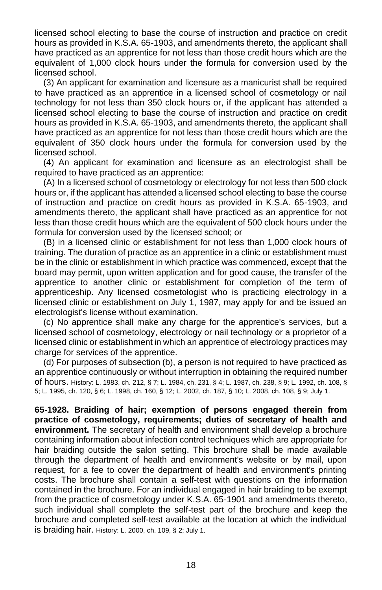licensed school electing to base the course of instruction and practice on credit hours as provided in K.S.A. 65-1903, and amendments thereto, the applicant shall have practiced as an apprentice for not less than those credit hours which are the equivalent of 1,000 clock hours under the formula for conversion used by the licensed school.

(3) An applicant for examination and licensure as a manicurist shall be required to have practiced as an apprentice in a licensed school of cosmetology or nail technology for not less than 350 clock hours or, if the applicant has attended a licensed school electing to base the course of instruction and practice on credit hours as provided in K.S.A. 65-1903, and amendments thereto, the applicant shall have practiced as an apprentice for not less than those credit hours which are the equivalent of 350 clock hours under the formula for conversion used by the licensed school.

(4) An applicant for examination and licensure as an electrologist shall be required to have practiced as an apprentice:

(A) In a licensed school of cosmetology or electrology for not less than 500 clock hours or, if the applicant has attended a licensed school electing to base the course of instruction and practice on credit hours as provided in K.S.A. 65-1903, and amendments thereto, the applicant shall have practiced as an apprentice for not less than those credit hours which are the equivalent of 500 clock hours under the formula for conversion used by the licensed school; or

(B) in a licensed clinic or establishment for not less than 1,000 clock hours of training. The duration of practice as an apprentice in a clinic or establishment must be in the clinic or establishment in which practice was commenced, except that the board may permit, upon written application and for good cause, the transfer of the apprentice to another clinic or establishment for completion of the term of apprenticeship. Any licensed cosmetologist who is practicing electrology in a licensed clinic or establishment on July 1, 1987, may apply for and be issued an electrologist's license without examination.

(c) No apprentice shall make any charge for the apprentice's services, but a licensed school of cosmetology, electrology or nail technology or a proprietor of a licensed clinic or establishment in which an apprentice of electrology practices may charge for services of the apprentice.

(d) For purposes of subsection (b), a person is not required to have practiced as an apprentice continuously or without interruption in obtaining the required number of hours. History: L. 1983, ch. 212, § 7; L. 1984, ch. 231, § 4; L. 1987, ch. 238, § 9; L. 1992, ch. 108, § 5; L. 1995, ch. 120, § 6; L. 1998, ch. 160, § 12; L. 2002, ch. 187, § 10; L. 2008, ch. 108, § 9; July 1.

<span id="page-23-1"></span><span id="page-23-0"></span>**65-1928. Braiding of hair; exemption of persons engaged therein from practice of cosmetology, requirements; duties of secretary of health and environment.** The secretary of health and environment shall develop a brochure containing information about infection control techniques which are appropriate for hair braiding outside the salon setting. This brochure shall be made available through the department of health and environment's website or by mail, upon request, for a fee to cover the department of health and environment's printing costs. The brochure shall contain a self-test with questions on the information contained in the brochure. For an individual engaged in hair braiding to be exempt from the practice of cosmetology under K.S.A. 65-1901 and amendments thereto, such individual shall complete the self-test part of the brochure and keep the brochure and completed self-test available at the location at which the individual is braiding hair. History: L. 2000, ch. 109, § 2; July 1.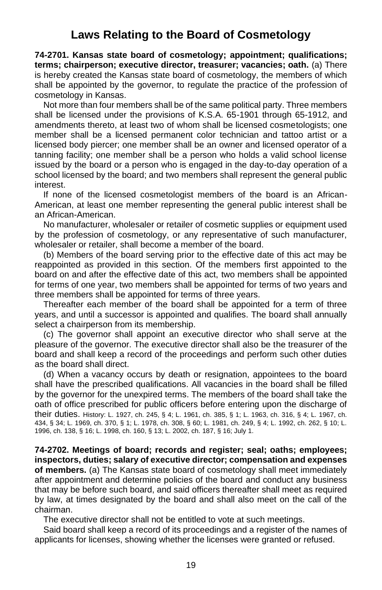## **Laws Relating to the Board of Cosmetology**

<span id="page-24-0"></span>**74-2701. Kansas state board of cosmetology; appointment; qualifications; terms; chairperson; executive director, treasurer; vacancies; oath.** (a) There is hereby created the Kansas state board of cosmetology, the members of which shall be appointed by the governor, to regulate the practice of the profession of cosmetology in Kansas.

Not more than four members shall be of the same political party. Three members shall be licensed under the provisions of K.S.A. 65-1901 through 65-1912, and amendments thereto, at least two of whom shall be licensed cosmetologists; one member shall be a licensed permanent color technician and tattoo artist or a licensed body piercer; one member shall be an owner and licensed operator of a tanning facility; one member shall be a person who holds a valid school license issued by the board or a person who is engaged in the day-to-day operation of a school licensed by the board; and two members shall represent the general public interest.

If none of the licensed cosmetologist members of the board is an African-American, at least one member representing the general public interest shall be an African-American.

No manufacturer, wholesaler or retailer of cosmetic supplies or equipment used by the profession of cosmetology, or any representative of such manufacturer, wholesaler or retailer, shall become a member of the board.

(b) Members of the board serving prior to the effective date of this act may be reappointed as provided in this section. Of the members first appointed to the board on and after the effective date of this act, two members shall be appointed for terms of one year, two members shall be appointed for terms of two years and three members shall be appointed for terms of three years.

Thereafter each member of the board shall be appointed for a term of three years, and until a successor is appointed and qualifies. The board shall annually select a chairperson from its membership.

(c) The governor shall appoint an executive director who shall serve at the pleasure of the governor. The executive director shall also be the treasurer of the board and shall keep a record of the proceedings and perform such other duties as the board shall direct.

(d) When a vacancy occurs by death or resignation, appointees to the board shall have the prescribed qualifications. All vacancies in the board shall be filled by the governor for the unexpired terms. The members of the board shall take the oath of office prescribed for public officers before entering upon the discharge of their duties. History: L. 1927, ch. 245, § 4; L. 1961, ch. 385, § 1; L. 1963, ch. 316, § 4; L. 1967, ch. 434, § 34; L. 1969, ch. 370, § 1; L. 1978, ch. 308, § 60; L. 1981, ch. 249, § 4; L. 1992, ch. 262, § 10; L. 1996, ch. 138, § 16; L. 1998, ch. 160, § 13; L. 2002, ch. 187, § 16; July 1.

<span id="page-24-1"></span>**74-2702. Meetings of board; records and register; seal; oaths; employees; inspectors, duties; salary of executive director; compensation and expenses of members.** (a) The Kansas state board of cosmetology shall meet immediately after appointment and determine policies of the board and conduct any business that may be before such board, and said officers thereafter shall meet as required by law, at times designated by the board and shall also meet on the call of the chairman.

The executive director shall not be entitled to vote at such meetings.

Said board shall keep a record of its proceedings and a register of the names of applicants for licenses, showing whether the licenses were granted or refused.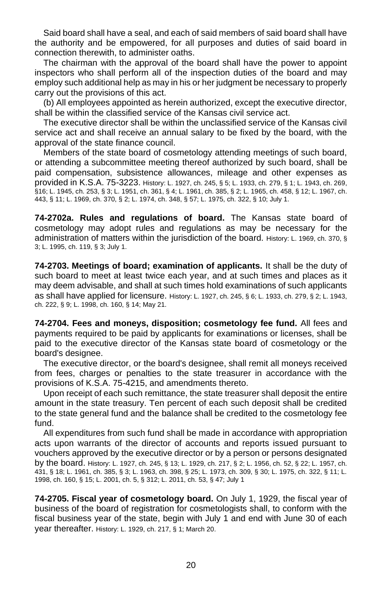Said board shall have a seal, and each of said members of said board shall have the authority and be empowered, for all purposes and duties of said board in connection therewith, to administer oaths.

The chairman with the approval of the board shall have the power to appoint inspectors who shall perform all of the inspection duties of the board and may employ such additional help as may in his or her judgment be necessary to properly carry out the provisions of this act.

(b) All employees appointed as herein authorized, except the executive director, shall be within the classified service of the Kansas civil service act.

The executive director shall be within the unclassified service of the Kansas civil service act and shall receive an annual salary to be fixed by the board, with the approval of the state finance council.

Members of the state board of cosmetology attending meetings of such board, or attending a subcommittee meeting thereof authorized by such board, shall be paid compensation, subsistence allowances, mileage and other expenses as provided in K.S.A. 75-3223. History: L. 1927, ch. 245, § 5; L. 1933, ch. 279, § 1; L. 1943, ch. 269, §16; L. 1945, ch. 253, § 3; L. 1951, ch. 361, § 4; L. 1961, ch. 385, § 2; L. 1965, ch. 458, § 12; L. 1967, ch. 443, § 11; L. 1969, ch. 370, § 2; L. 1974, ch. 348, § 57; L. 1975, ch. 322, § 10; July 1.

<span id="page-25-0"></span>**74-2702a. Rules and regulations of board.** The Kansas state board of cosmetology may adopt rules and regulations as may be necessary for the administration of matters within the jurisdiction of the board. History: L. 1969, ch. 370, § 3; L. 1995, ch. 119, § 3; July 1.

<span id="page-25-1"></span>**74-2703. Meetings of board; examination of applicants.** It shall be the duty of such board to meet at least twice each year, and at such times and places as it may deem advisable, and shall at such times hold examinations of such applicants as shall have applied for licensure. History: L. 1927, ch. 245, § 6; L. 1933, ch. 279, § 2; L. 1943, ch. 222, § 9; L. 1998, ch. 160, § 14; May 21.

<span id="page-25-2"></span>**74-2704. Fees and moneys, disposition; cosmetology fee fund.** All fees and payments required to be paid by applicants for examinations or licenses, shall be paid to the executive director of the Kansas state board of cosmetology or the board's designee.

The executive director, or the board's designee, shall remit all moneys received from fees, charges or penalties to the state treasurer in accordance with the provisions of K.S.A. 75-4215, and amendments thereto.

Upon receipt of each such remittance, the state treasurer shall deposit the entire amount in the state treasury. Ten percent of each such deposit shall be credited to the state general fund and the balance shall be credited to the cosmetology fee fund.

All expenditures from such fund shall be made in accordance with appropriation acts upon warrants of the director of accounts and reports issued pursuant to vouchers approved by the executive director or by a person or persons designated by the board. History: L. 1927, ch. 245, § 13; L. 1929, ch. 217, § 2; L. 1956, ch. 52, § 22; L. 1957, ch. 431, § 18; L. 1961, ch. 385, § 3; L. 1963, ch. 398, § 25; L. 1973, ch. 309, § 30; L. 1975, ch. 322, § 11; L. 1998, ch. 160, § 15; L. 2001, ch. 5, § 312; L. 2011, ch. 53, § 47; July 1

<span id="page-25-3"></span>**74-2705. Fiscal year of cosmetology board.** On July 1, 1929, the fiscal year of business of the board of registration for cosmetologists shall, to conform with the fiscal business year of the state, begin with July 1 and end with June 30 of each year thereafter. History: L. 1929, ch. 217, § 1; March 20.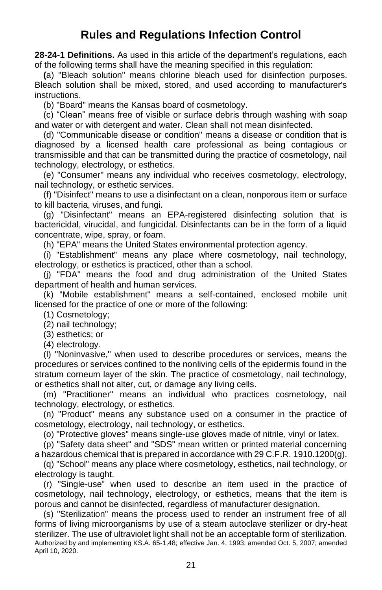# <span id="page-26-1"></span>**Rules and Regulations Infection Control**

<span id="page-26-2"></span><span id="page-26-0"></span>**28-24-1 Definitions.** As used in this article of the department's regulations, each of the following terms shall have the meaning specified in this regulation:

**(**a) "Bleach solution" means chlorine bleach used for disinfection purposes. Bleach solution shall be mixed, stored, and used according to manufacturer's instructions.

(b) "Board" means the Kansas board of cosmetology.

(c) "Clean" means free of visible or surface debris through washing with soap and water or with detergent and water. Clean shall not mean disinfected.

(d) "Communicable disease or condition" means a disease or condition that is diagnosed by a licensed health care professional as being contagious or transmissible and that can be transmitted during the practice of cosmetology, nail technology, electrology, or esthetics.

(e) "Consumer" means any individual who receives cosmetology, electrology, nail technology, or esthetic services.

(f) "Disinfect" means to use a disinfectant on a clean, nonporous item or surface to kill bacteria, viruses, and fungi.

(g) "Disinfectant" means an EPA-registered disinfecting solution that is bactericidal, virucidal, and fungicidal. Disinfectants can be in the form of a liquid concentrate, wipe, spray, or foam.

(h) "EPA" means the United States environmental protection agency.

(i) "Establishment" means any place where cosmetology, nail technology, electrology, or esthetics is practiced, other than a school.

(j) "FDA'' means the food and drug administration of the United States department of health and human services.

(k) "Mobile establishment" means a self-contained, enclosed mobile unit licensed for the practice of one or more of the following:

(1) Cosmetology;

(2) nail technology;

(3) esthetics; or

(4) electrology.

(l) ''Noninvasive," when used to describe procedures or services, means the procedures or services confined to the nonliving cells of the epidermis found in the stratum corneum layer of the skin. The practice of cosmetology, nail technology, or esthetics shall not alter, cut, or damage any living cells.

(m) "Practitioner" means an individual who practices cosmetology, nail technology, electrology, or esthetics.

(n) "Product" means any substance used on a consumer in the practice of cosmetology, electrology, nail technology, or esthetics.

(o) "Protective gloves" means single-use gloves made of nitrile, vinyl or latex.

(p) "Safety data sheet" and "SDS" mean written or printed material concerning a hazardous chemical that is prepared in accordance with 29 C.F.R. 1910.1200(g).

(q) "School" means any place where cosmetology, esthetics, nail technology, or electrology is taught.

(r) "Single-use" when used to describe an item used in the practice of cosmetology, nail technology, electrology, or esthetics, means that the item is porous and cannot be disinfected, regardless of manufacturer designation.

(s) "Sterilization" means the process used to render an instrument free of all forms of living microorganisms by use of a steam autoclave sterilizer or dry-heat sterilizer. The use of ultraviolet light shall not be an acceptable form of sterilization. Authorized by and implementing KS.A. 65-1,48; effective Jan. 4, 1993; amended Oct. 5, 2007; amended April 10, 2020.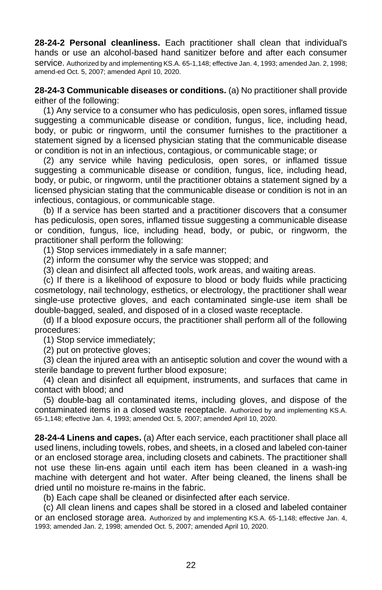<span id="page-27-0"></span>**28-24-2 Personal cleanliness.** Each practitioner shall clean that individual's hands or use an alcohol-based hand sanitizer before and after each consumer service. Authorized by and implementing KS.A. 65-1,148; effective Jan. 4, 1993; amended Jan. 2, 1998; amend-ed Oct. 5, 2007; amended April 10, 2020.

<span id="page-27-1"></span>**28-24-3 Communicable diseases or conditions.** (a) No practitioner shall provide either of the following:

(1) Any service to a consumer who has pediculosis, open sores, inflamed tissue suggesting a communicable disease or condition, fungus, lice, including head, body, or pubic or ringworm, until the consumer furnishes to the practitioner a statement signed by a licensed physician stating that the communicable disease or condition is not in an infectious, contagious, or communicable stage; or

(2) any service while having pediculosis, open sores, or inflamed tissue suggesting a communicable disease or condition, fungus, lice, including head, body, or pubic, or ringworm, until the practitioner obtains a statement signed by a licensed physician stating that the communicable disease or condition is not in an infectious, contagious, or communicable stage.

(b) If a service has been started and a practitioner discovers that a consumer has pediculosis, open sores, inflamed tissue suggesting a communicable disease or condition, fungus, lice, including head, body, or pubic, or ringworm, the practitioner shall perform the following:

(1) Stop services immediately in a safe manner;

(2) inform the consumer why the service was stopped; and

(3) clean and disinfect all affected tools, work areas, and waiting areas.

(c) If there is a likelihood of exposure to blood or body fluids while practicing cosmetology, nail technology, esthetics, or electrology, the practitioner shall wear single-use protective gloves, and each contaminated single-use item shall be double-bagged, sealed, and disposed of in a closed waste receptacle.

(d) If a blood exposure occurs, the practitioner shall perform all of the following procedures:

(1) Stop service immediately;

(2) put on protective gloves;

(3) clean the injured area with an antiseptic solution and cover the wound with a sterile bandage to prevent further blood exposure;

(4) clean and disinfect all equipment, instruments, and surfaces that came in contact with blood; and

(5) double-bag all contaminated items, including gloves, and dispose of the contaminated items in a closed waste receptacle. Authorized by and implementing KS.A. 65-1,148; effective Jan. 4, 1993; amended Oct. 5, 2007; amended April 10, 2020.

<span id="page-27-2"></span>**28-24-4 Linens and capes.** (a) After each service, each practitioner shall place all used linens, including towels, robes, and sheets, in a closed and labeled con-tainer or an enclosed storage area, including closets and cabinets. The practitioner shall not use these lin-ens again until each item has been cleaned in a wash-ing machine with detergent and hot water. After being cleaned, the linens shall be dried until no moisture re-mains in the fabric.

(b) Each cape shall be cleaned or disinfected after each service.

(c) All clean linens and capes shall be stored in a closed and labeled container or an enclosed storage area. Authorized by and implementing KS.A. 65-1,148; effective Jan. 4, 1993; amended Jan. 2, 1998; amended Oct. 5, 2007; amended April 10, 2020.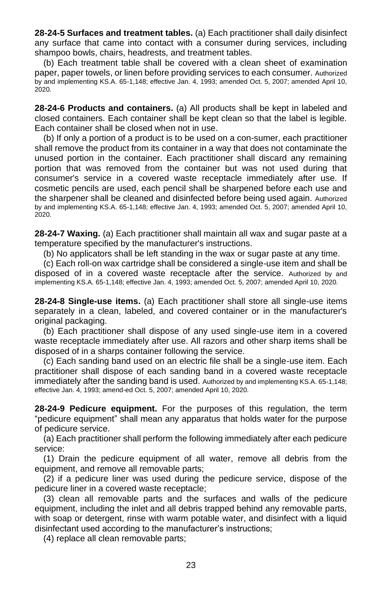<span id="page-28-0"></span>**28-24-5 Surfaces and treatment tables.** (a) Each practitioner shall daily disinfect any surface that came into contact with a consumer during services, including shampoo bowls, chairs, headrests, and treatment tables.

(b) Each treatment table shall be covered with a clean sheet of examination paper, paper towels, or linen before providing services to each consumer. Authorized by and implementing KS.A. 65-1,148; effective Jan. 4, 1993; amended Oct. 5, 2007; amended April 10, 2020.

<span id="page-28-1"></span>**28-24-6 Products and containers.** (a) All products shall be kept in labeled and closed containers. Each container shall be kept clean so that the label is legible. Each container shall be closed when not in use.

(b) If only a portion of a product is to be used on a con-sumer, each practitioner shall remove the product from its container in a way that does not contaminate the unused portion in the container. Each practitioner shall discard any remaining portion that was removed from the container but was not used during that consumer's service in a covered waste receptacle immediately after use. If cosmetic pencils are used, each pencil shall be sharpened before each use and the sharpener shall be cleaned and disinfected before being used again. Authorized by and implementing KS.A. 65-1,148; effective Jan. 4, 1993; amended Oct. 5, 2007; amended April 10, 2020.

<span id="page-28-2"></span>**28-24-7 Waxing.** (a) Each practitioner shall maintain all wax and sugar paste at a temperature specified by the manufacturer's instructions.

<span id="page-28-3"></span>(b) No applicators shall be left standing in the wax or sugar paste at any time.

(c) Each roll-on wax cartridge shall be considered a single-use item and shall be disposed of in a covered waste receptacle after the service. Authorized by and implementing KS.A. 65-1,148; effective Jan. 4, 1993; amended Oct. 5, 2007; amended April 10, 2020.

<span id="page-28-4"></span>**28-24-8 Single-use items.** (a) Each practitioner shall store all single-use items separately in a clean, labeled, and covered container or in the manufacturer's original packaging.

(b) Each practitioner shall dispose of any used single-use item in a covered waste receptacle immediately after use. All razors and other sharp items shall be disposed of in a sharps container following the service.

(c) Each sanding band used on an electric file shall be a single-use item. Each practitioner shall dispose of each sanding band in a covered waste receptacle immediately after the sanding band is used. Authorized by and implementing KS.A. 65-1,148; effective Jan. 4, 1993; amend-ed Oct. 5, 2007; amended April 10, 2020.

**28-24-9 Pedicure equipment.** For the purposes of this regulation, the term "pedicure equipment" shall mean any apparatus that holds water for the purpose of pedicure service.

(a) Each practitioner shall perform the following immediately after each pedicure service:

(1) Drain the pedicure equipment of all water, remove all debris from the equipment, and remove all removable parts;

(2) if a pedicure liner was used during the pedicure service, dispose of the pedicure liner in a covered waste receptacle;

(3) clean all removable parts and the surfaces and walls of the pedicure equipment, including the inlet and all debris trapped behind any removable parts, with soap or detergent, rinse with warm potable water, and disinfect with a liquid disinfectant used according to the manufacturer's instructions;

(4) replace all clean removable parts;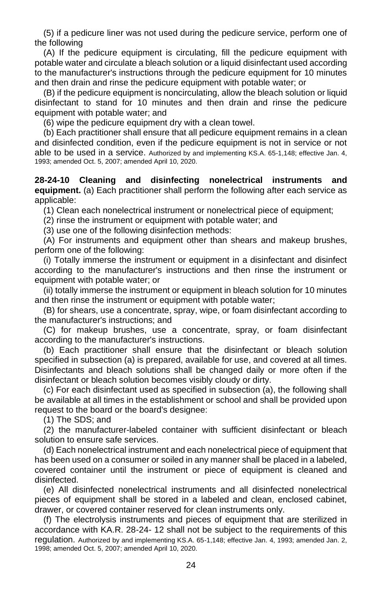(5) if a pedicure liner was not used during the pedicure service, perform one of the following

(A) If the pedicure equipment is circulating, fill the pedicure equipment with potable water and circulate a bleach solution or a liquid disinfectant used according to the manufacturer's instructions through the pedicure equipment for 10 minutes and then drain and rinse the pedicure equipment with potable water; or

(B) if the pedicure equipment is noncirculating, allow the bleach solution or liquid disinfectant to stand for 10 minutes and then drain and rinse the pedicure equipment with potable water; and

(6) wipe the pedicure equipment dry with a clean towel.

(b) Each practitioner shall ensure that all pedicure equipment remains in a clean and disinfected condition, even if the pedicure equipment is not in service or not able to be used in a service. Authorized by and implementing KS.A. 65-1,148; effective Jan. 4, 1993; amended Oct. 5, 2007; amended April 10, 2020.

<span id="page-29-0"></span>**28-24-10 Cleaning and disinfecting nonelectrical instruments and equipment.** (a) Each practitioner shall perform the following after each service as applicable:

(1) Clean each nonelectrical instrument or nonelectrical piece of equipment;

(2) rinse the instrument or equipment with potable water; and

(3) use one of the following disinfection methods:

(A) For instruments and equipment other than shears and makeup brushes, perform one of the following:

(i) Totally immerse the instrument or equipment in a disinfectant and disinfect according to the manufacturer's instructions and then rinse the instrument or equipment with potable water; or

(ii) totally immerse the instrument or equipment in bleach solution for 10 minutes and then rinse the instrument or equipment with potable water;

(B) for shears, use a concentrate, spray, wipe, or foam disinfectant according to the manufacturer's instructions; and

(C) for makeup brushes, use a concentrate, spray, or foam disinfectant according to the manufacturer's instructions.

(b) Each practitioner shall ensure that the disinfectant or bleach solution specified in subsection (a) is prepared, available for use, and covered at all times. Disinfectants and bleach solutions shall be changed daily or more often if the disinfectant or bleach solution becomes visibly cloudy or dirty.

(c) For each disinfectant used as specified in subsection (a), the following shall be available at all times in the establishment or school and shall be provided upon request to the board or the board's designee:

(1) The SDS; and

(2) the manufacturer-labeled container with sufficient disinfectant or bleach solution to ensure safe services.

(d) Each nonelectrical instrument and each nonelectrical piece of equipment that has been used on a consumer or soiled in any manner shall be placed in a labeled, covered container until the instrument or piece of equipment is cleaned and disinfected.

(e) All disinfected nonelectrical instruments and all disinfected nonelectrical pieces of equipment shall be stored in a labeled and clean, enclosed cabinet, drawer, or covered container reserved for clean instruments only.

(f) The electrolysis instruments and pieces of equipment that are sterilized in accordance with KA.R. 28-24- 12 shall not be subject to the requirements of this regulation. Authorized by and implementing KS.A. 65-1,148; effective Jan. 4, 1993; amended Jan. 2, 1998; amended Oct. 5, 2007; amended April 10, 2020.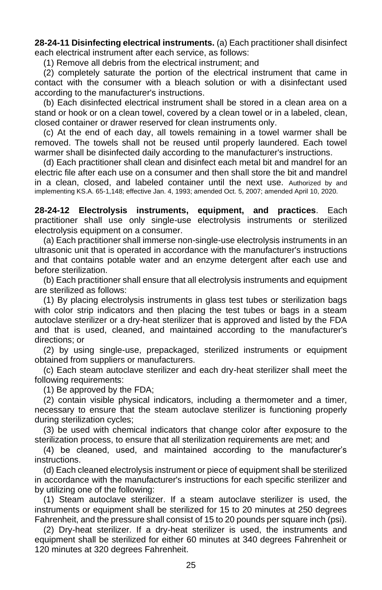<span id="page-30-0"></span>**28-24-11 Disinfecting electrical instruments.** (a) Each practitioner shall disinfect each electrical instrument after each service, as follows:

(1) Remove all debris from the electrical instrument; and

(2) completely saturate the portion of the electrical instrument that came in contact with the consumer with a bleach solution or with a disinfectant used according to the manufacturer's instructions.

(b) Each disinfected electrical instrument shall be stored in a clean area on a stand or hook or on a clean towel, covered by a clean towel or in a labeled, clean, closed container or drawer reserved for clean instruments only.

(c) At the end of each day, all towels remaining in a towel warmer shall be removed. The towels shall not be reused until properly laundered. Each towel warmer shall be disinfected daily according to the manufacturer's instructions.

(d) Each practitioner shall clean and disinfect each metal bit and mandrel for an electric file after each use on a consumer and then shall store the bit and mandrel in a clean, closed, and labeled container until the next use. Authorized by and implementing KS.A. 65-1,148; effective Jan. 4, 1993; amended Oct. 5, 2007; amended April 10, 2020.

<span id="page-30-1"></span>**28-24-12 Electrolysis instruments, equipment, and practices**. Each practitioner shall use only single-use electrolysis instruments or sterilized electrolysis equipment on a consumer.

(a) Each practitioner shall immerse non-single-use electrolysis instruments in an ultrasonic unit that is operated in accordance with the manufacturer's instructions and that contains potable water and an enzyme detergent after each use and before sterilization.

(b) Each practitioner shall ensure that all electrolysis instruments and equipment are sterilized as follows:

(1) By placing electrolysis instruments in glass test tubes or sterilization bags with color strip indicators and then placing the test tubes or bags in a steam autoclave sterilizer or a dry-heat sterilizer that is approved and listed by the FDA and that is used, cleaned, and maintained according to the manufacturer's directions; or

(2) by using single-use, prepackaged, sterilized instruments or equipment obtained from suppliers or manufacturers.

(c) Each steam autoclave sterilizer and each dry-heat sterilizer shall meet the following requirements:

(1) Be approved by the FDA;

(2) contain visible physical indicators, including a thermometer and a timer, necessary to ensure that the steam autoclave sterilizer is functioning properly during sterilization cycles;

(3) be used with chemical indicators that change color after exposure to the sterilization process, to ensure that all sterilization requirements are met; and

(4) be cleaned, used, and maintained according to the manufacturer's instructions.

(d) Each cleaned electrolysis instrument or piece of equipment shall be sterilized in accordance with the manufacturer's instructions for each specific sterilizer and by utilizing one of the following:

(1) Steam autoclave sterilizer. If a steam autoclave sterilizer is used, the instruments or equipment shall be sterilized for 15 to 20 minutes at 250 degrees Fahrenheit, and the pressure shall consist of 15 to 20 pounds per square inch (psi).

<span id="page-30-2"></span>(2) Dry-heat sterilizer. If a dry-heat sterilizer is used, the instruments and equipment shall be sterilized for either 60 minutes at 340 degrees Fahrenheit or 120 minutes at 320 degrees Fahrenheit.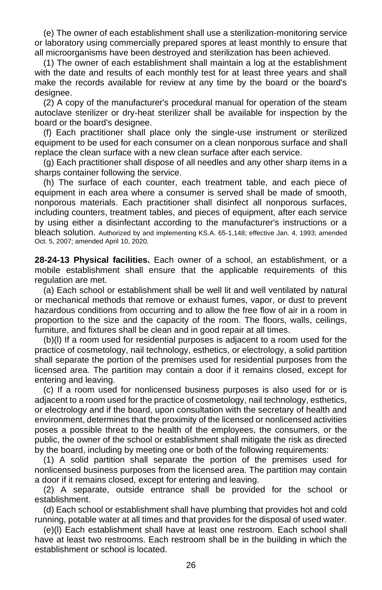(e) The owner of each establishment shall use a sterilization-monitoring service or laboratory using commercially prepared spores at least monthly to ensure that all microorganisms have been destroyed and sterilization has been achieved.

(1) The owner of each establishment shall maintain a log at the establishment with the date and results of each monthly test for at least three years and shall make the records available for review at any time by the board or the board's designee.

(2) A copy of the manufacturer's procedural manual for operation of the steam autoclave sterilizer or dry-heat sterilizer shall be available for inspection by the board or the board's designee.

(f) Each practitioner shall place only the single-use instrument or sterilized equipment to be used for each consumer on a clean nonporous surface and shall replace the clean surface with a new clean surface after each service.

(g) Each practitioner shall dispose of all needles and any other sharp items in a sharps container following the service.

(h) The surface of each counter, each treatment table, and each piece of equipment in each area where a consumer is served shall be made of smooth, nonporous materials. Each practitioner shall disinfect all nonporous surfaces, including counters, treatment tables, and pieces of equipment, after each service by using either a disinfectant according to the manufacturer's instructions or a bleach solution. Authorized by and implementing KS.A. 65-1,148; effective Jan. 4, 1993; amended Oct. 5, 2007; amended April 10, 2020.

**28-24-13 Physical facilities.** Each owner of a school, an establishment, or a mobile establishment shall ensure that the applicable requirements of this regulation are met.

(a) Each school or establishment shall be well lit and well ventilated by natural or mechanical methods that remove or exhaust fumes, vapor, or dust to prevent hazardous conditions from occurring and to allow the free flow of air in a room in proportion to the size and the capacity of the room. The floors, walls, ceilings, furniture, and fixtures shall be clean and in good repair at all times.

(b)(l) If a room used for residential purposes is adjacent to a room used for the practice of cosmetology, nail technology, esthetics, or electrology, a solid partition shall separate the portion of the premises used for residential purposes from the licensed area. The partition may contain a door if it remains closed, except for entering and leaving.

(c) If a room used for nonlicensed business purposes is also used for or is adjacent to a room used for the practice of cosmetology, nail technology, esthetics, or electrology and if the board, upon consultation with the secretary of health and environment, determines that the proximity of the licensed or nonlicensed activities poses a possible threat to the health of the employees, the consumers, or the public, the owner of the school or establishment shall mitigate the risk as directed by the board, including by meeting one or both of the following requirements:

(1) A solid partition shall separate the portion of the premises used for nonlicensed business purposes from the licensed area. The partition may contain a door if it remains closed, except for entering and leaving.

(2) A separate, outside entrance shall be provided for the school or establishment.

(d) Each school or establishment shall have plumbing that provides hot and cold running, potable water at all times and that provides for the disposal of used water.

(e)(l) Each establishment shall have at least one restroom. Each school shall have at least two restrooms. Each restroom shall be in the building in which the establishment or school is located.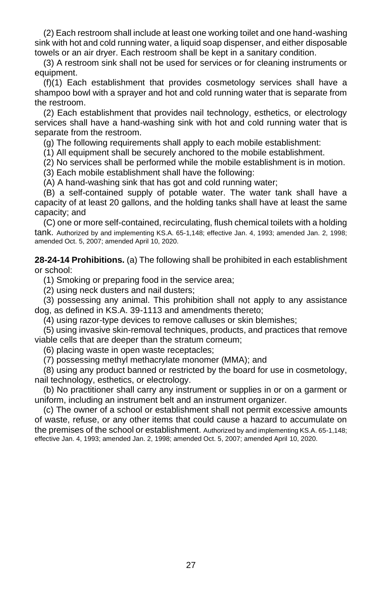(2) Each restroom shall include at least one working toilet and one hand-washing sink with hot and cold running water, a liquid soap dispenser, and either disposable towels or an air dryer. Each restroom shall be kept in a sanitary condition.

(3) A restroom sink shall not be used for services or for cleaning instruments or equipment.

(f)(1) Each establishment that provides cosmetology services shall have a shampoo bowl with a sprayer and hot and cold running water that is separate from the restroom.

(2) Each establishment that provides nail technology, esthetics, or electrology services shall have a hand-washing sink with hot and cold running water that is separate from the restroom.

<span id="page-32-0"></span>(g) The following requirements shall apply to each mobile establishment:

(1) All equipment shall be securely anchored to the mobile establishment.

(2) No services shall be performed while the mobile establishment is in motion.

(3) Each mobile establishment shall have the following:

(A) A hand-washing sink that has got and cold running water;

(B) a self-contained supply of potable water. The water tank shall have a capacity of at least 20 gallons, and the holding tanks shall have at least the same capacity; and

(C) one or more self-contained, recirculating, flush chemical toilets with a holding tank. Authorized by and implementing KS.A. 65-1,148; effective Jan. 4, 1993; amended Jan. 2, 1998; amended Oct. 5, 2007; amended April 10, 2020.

**28-24-14 Prohibitions.** (a) The following shall be prohibited in each establishment or school:

(1) Smoking or preparing food in the service area;

(2) using neck dusters and nail dusters;

(3) possessing any animal. This prohibition shall not apply to any assistance dog, as defined in KS.A. 39-1113 and amendments thereto;

(4) using razor-type devices to remove calluses or skin blemishes;

(5) using invasive skin-removal techniques, products, and practices that remove viable cells that are deeper than the stratum corneum;

(6) placing waste in open waste receptacles;

(7) possessing methyl methacrylate monomer (MMA); and

(8) using any product banned or restricted by the board for use in cosmetology, nail technology, esthetics, or electrology.

(b) No practitioner shall carry any instrument or supplies in or on a garment or uniform, including an instrument belt and an instrument organizer.

<span id="page-32-1"></span>(c) The owner of a school or establishment shall not permit excessive amounts of waste, refuse, or any other items that could cause a hazard to accumulate on the premises of the school or establishment. Authorized by and implementing KS.A. 65-1,148; effective Jan. 4, 1993; amended Jan. 2, 1998; amended Oct. 5, 2007; amended April 10, 2020.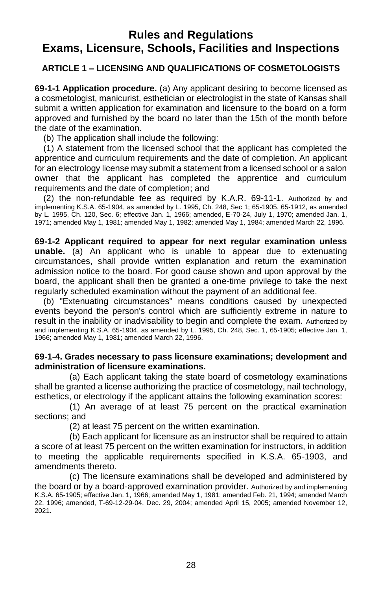## **Rules and Regulations Exams, Licensure, Schools, Facilities and Inspections**

#### <span id="page-33-0"></span>**ARTICLE 1 – LICENSING AND QUALIFICATIONS OF COSMETOLOGISTS**

**69-1-1 Application procedure.** (a) Any applicant desiring to become licensed as a cosmetologist, manicurist, esthetician or electrologist in the state of Kansas shall submit a written application for examination and licensure to the board on a form approved and furnished by the board no later than the 15th of the month before the date of the examination.

(b) The application shall include the following:

(1) A statement from the licensed school that the applicant has completed the apprentice and curriculum requirements and the date of completion. An applicant for an electrology license may submit a statement from a licensed school or a salon owner that the applicant has completed the apprentice and curriculum requirements and the date of completion; and

(2) the non-refundable fee as required by K.A.R. 69-11-1. Authorized by and implementing K.S.A. 65-1904, as amended by L. 1995, Ch. 248, Sec 1; 65-1905, 65-1912, as amended by L. 1995, Ch. 120, Sec. 6; effective Jan. 1, 1966; amended, E-70-24, July 1, 1970; amended Jan. 1, 1971; amended May 1, 1981; amended May 1, 1982; amended May 1, 1984; amended March 22, 1996.

<span id="page-33-1"></span>**69-1-2 Applicant required to appear for next regular examination unless unable.** (a) An applicant who is unable to appear due to extenuating circumstances, shall provide written explanation and return the examination admission notice to the board. For good cause shown and upon approval by the board, the applicant shall then be granted a one-time privilege to take the next regularly scheduled examination without the payment of an additional fee.

(b) "Extenuating circumstances" means conditions caused by unexpected events beyond the person's control which are sufficiently extreme in nature to result in the inability or inadvisability to begin and complete the exam. Authorized by and implementing K.S.A. 65-1904, as amended by L. 1995, Ch. 248, Sec. 1, 65-1905; effective Jan. 1, 1966; amended May 1, 1981; amended March 22, 1996.

#### **69-1-4. Grades necessary to pass licensure examinations; development and administration of licensure examinations.**

(a) Each applicant taking the state board of cosmetology examinations shall be granted a license authorizing the practice of cosmetology, nail technology, esthetics, or electrology if the applicant attains the following examination scores:

(1) An average of at least 75 percent on the practical examination sections; and

(2) at least 75 percent on the written examination.

(b) Each applicant for licensure as an instructor shall be required to attain a score of at least 75 percent on the written examination for instructors, in addition to meeting the applicable requirements specified in K.S.A. 65-1903, and amendments thereto.

<span id="page-33-2"></span>(c) The licensure examinations shall be developed and administered by the board or by a board-approved examination provider. Authorized by and implementing K.S.A. 65-1905; effective Jan. 1, 1966; amended May 1, 1981; amended Feb. 21, 1994; amended March 22, 1996; amended, T-69-12-29-04, Dec. 29, 2004; amended April 15, 2005; amended November 12, 2021.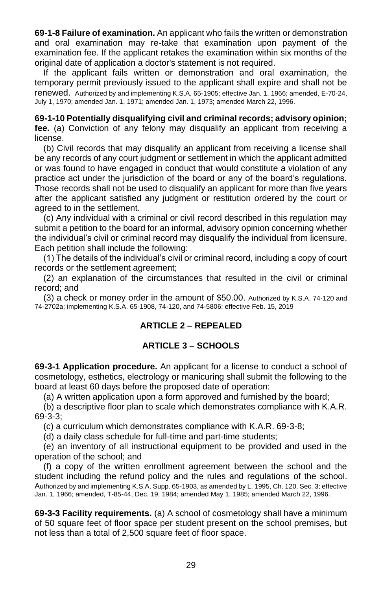**69-1-8 Failure of examination.** An applicant who fails the written or demonstration and oral examination may re-take that examination upon payment of the examination fee. If the applicant retakes the examination within six months of the original date of application a doctor's statement is not required.

If the applicant fails written or demonstration and oral examination, the temporary permit previously issued to the applicant shall expire and shall not be renewed. Authorized by and implementing K.S.A. 65-1905; effective Jan. 1, 1966; amended, E-70-24, July 1, 1970; amended Jan. 1, 1971; amended Jan. 1, 1973; amended March 22, 1996.

**69-1-10 Potentially disqualifying civil and criminal records; advisory opinion; fee.** (a) Conviction of any felony may disqualify an applicant from receiving a license.

(b) Civil records that may disqualify an applicant from receiving a license shall be any records of any court judgment or settlement in which the applicant admitted or was found to have engaged in conduct that would constitute a violation of any practice act under the jurisdiction of the board or any of the board's regulations. Those records shall not be used to disqualify an applicant for more than five years after the applicant satisfied any judgment or restitution ordered by the court or agreed to in the settlement.

(c) Any individual with a criminal or civil record described in this regulation may submit a petition to the board for an informal, advisory opinion concerning whether the individual's civil or criminal record may disqualify the individual from licensure. Each petition shall include the following:

(1) The details of the individual's civil or criminal record, including a copy of court records or the settlement agreement;

(2) an explanation of the circumstances that resulted in the civil or criminal record; and

(3) a check or money order in the amount of \$50.00. Authorized by K.S.A. 74-120 and 74-2702a; implementing K.S.A. 65-1908, 74-120, and 74-5806; effective Feb. 15, 2019

#### <span id="page-34-0"></span>**ARTICLE 2 – REPEALED**

#### **ARTICLE 3 – SCHOOLS**

**69-3-1 Application procedure.** An applicant for a license to conduct a school of cosmetology, esthetics, electrology or manicuring shall submit the following to the board at least 60 days before the proposed date of operation:

(a) A written application upon a form approved and furnished by the board;

(b) a descriptive floor plan to scale which demonstrates compliance with K.A.R. 69-3-3;

(c) a curriculum which demonstrates compliance with K.A.R. 69-3-8;

(d) a daily class schedule for full-time and part-time students;

(e) an inventory of all instructional equipment to be provided and used in the operation of the school; and

(f) a copy of the written enrollment agreement between the school and the student including the refund policy and the rules and regulations of the school. Authorized by and implementing K.S.A. Supp. 65-1903, as amended by L. 1995, Ch. 120, Sec. 3; effective Jan. 1, 1966; amended, T-85-44, Dec. 19, 1984; amended May 1, 1985; amended March 22, 1996.

<span id="page-34-1"></span>**69-3-3 Facility requirements.** (a) A school of cosmetology shall have a minimum of 50 square feet of floor space per student present on the school premises, but not less than a total of 2,500 square feet of floor space.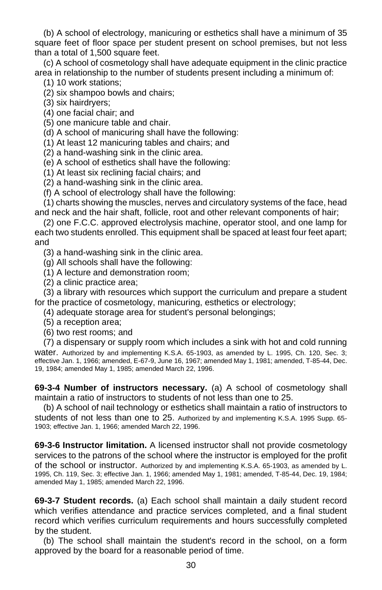(b) A school of electrology, manicuring or esthetics shall have a minimum of 35 square feet of floor space per student present on school premises, but not less than a total of 1,500 square feet.

(c) A school of cosmetology shall have adequate equipment in the clinic practice area in relationship to the number of students present including a minimum of:

(1) 10 work stations;

(2) six shampoo bowls and chairs;

(3) six hairdryers;

(4) one facial chair; and

(5) one manicure table and chair.

(d) A school of manicuring shall have the following:

(1) At least 12 manicuring tables and chairs; and

(2) a hand-washing sink in the clinic area.

(e) A school of esthetics shall have the following:

(1) At least six reclining facial chairs; and

(2) a hand-washing sink in the clinic area.

(f) A school of electrology shall have the following:

(1) charts showing the muscles, nerves and circulatory systems of the face, head and neck and the hair shaft, follicle, root and other relevant components of hair;

(2) one F.C.C. approved electrolysis machine, operator stool, and one lamp for each two students enrolled. This equipment shall be spaced at least four feet apart; and

(3) a hand-washing sink in the clinic area.

(g) All schools shall have the following:

(1) A lecture and demonstration room;

(2) a clinic practice area;

(3) a library with resources which support the curriculum and prepare a student for the practice of cosmetology, manicuring, esthetics or electrology;

(4) adequate storage area for student's personal belongings;

- (5) a reception area;
- (6) two rest rooms; and

(7) a dispensary or supply room which includes a sink with hot and cold running water. Authorized by and implementing K.S.A. 65-1903, as amended by L. 1995, Ch. 120, Sec. 3; effective Jan. 1, 1966; amended, E-67-9, June 16, 1967; amended May 1, 1981; amended, T-85-44, Dec. 19, 1984; amended May 1, 1985; amended March 22, 1996.

<span id="page-35-0"></span>**69-3-4 Number of instructors necessary.** (a) A school of cosmetology shall maintain a ratio of instructors to students of not less than one to 25.

(b) A school of nail technology or esthetics shall maintain a ratio of instructors to students of not less than one to 25. Authorized by and implementing K.S.A. 1995 Supp. 65- 1903; effective Jan. 1, 1966; amended March 22, 1996.

<span id="page-35-1"></span>**69-3-6 Instructor limitation.** A licensed instructor shall not provide cosmetology services to the patrons of the school where the instructor is employed for the profit of the school or instructor. Authorized by and implementing K.S.A. 65-1903, as amended by L. 1995, Ch. 119, Sec. 3; effective Jan. 1, 1966; amended May 1, 1981; amended, T-85-44, Dec. 19, 1984; amended May 1, 1985; amended March 22, 1996.

<span id="page-35-2"></span>**69-3-7 Student records.** (a) Each school shall maintain a daily student record which verifies attendance and practice services completed, and a final student record which verifies curriculum requirements and hours successfully completed by the student.

(b) The school shall maintain the student's record in the school, on a form approved by the board for a reasonable period of time.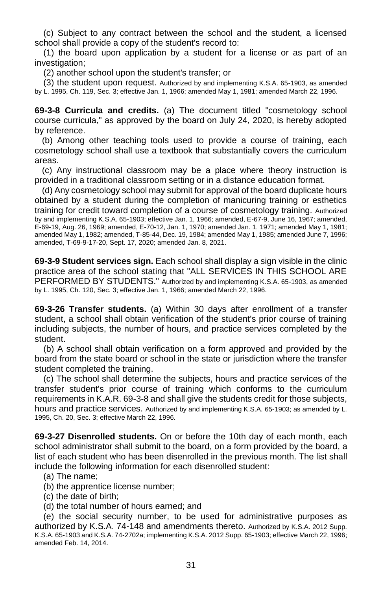(c) Subject to any contract between the school and the student, a licensed school shall provide a copy of the student's record to:

(1) the board upon application by a student for a license or as part of an investigation;

(2) another school upon the student's transfer; or

(3) the student upon request. Authorized by and implementing K.S.A. 65-1903, as amended by L. 1995, Ch. 119, Sec. 3; effective Jan. 1, 1966; amended May 1, 1981; amended March 22, 1996.

<span id="page-36-0"></span>**69-3-8 Curricula and credits.** (a) The document titled "cosmetology school course curricula," as approved by the board on July 24, 2020, is hereby adopted by reference.

 (b) Among other teaching tools used to provide a course of training, each cosmetology school shall use a textbook that substantially covers the curriculum areas.

 (c) Any instructional classroom may be a place where theory instruction is provided in a traditional classroom setting or in a distance education format.

 (d) Any cosmetology school may submit for approval of the board duplicate hours obtained by a student during the completion of manicuring training or esthetics training for credit toward completion of a course of cosmetology training. Authorized by and implementing K.S.A. 65-1903; effective Jan. 1, 1966; amended, E-67-9, June 16, 1967; amended, E-69-19, Aug. 26, 1969; amended, E-70-12, Jan. 1, 1970; amended Jan. 1, 1971; amended May 1, 1981; amended May 1, 1982; amended, T-85-44, Dec. 19, 1984; amended May 1, 1985; amended June 7, 1996; amended, T-69-9-17-20, Sept. 17, 2020; amended Jan. 8, 2021.

<span id="page-36-1"></span>**69-3-9 Student services sign.** Each school shall display a sign visible in the clinic practice area of the school stating that "ALL SERVICES IN THIS SCHOOL ARE PERFORMED BY STUDENTS." Authorized by and implementing K.S.A. 65-1903, as amended by L. 1995, Ch. 120, Sec. 3; effective Jan. 1, 1966; amended March 22, 1996.

<span id="page-36-2"></span>**69-3-26 Transfer students.** (a) Within 30 days after enrollment of a transfer student, a school shall obtain verification of the student's prior course of training including subjects, the number of hours, and practice services completed by the student.

(b) A school shall obtain verification on a form approved and provided by the board from the state board or school in the state or jurisdiction where the transfer student completed the training.

(c) The school shall determine the subjects, hours and practice services of the transfer student's prior course of training which conforms to the curriculum requirements in K.A.R. 69-3-8 and shall give the students credit for those subjects, hours and practice services. Authorized by and implementing K.S.A. 65-1903; as amended by L. 1995, Ch. 20, Sec. 3; effective March 22, 1996.

<span id="page-36-3"></span>**69-3-27 Disenrolled students.** On or before the 10th day of each month, each school administrator shall submit to the board, on a form provided by the board, a list of each student who has been disenrolled in the previous month. The list shall include the following information for each disenrolled student:

- (a) The name;
- (b) the apprentice license number;
- (c) the date of birth;
- (d) the total number of hours earned; and

<span id="page-36-4"></span>(e) the social security number, to be used for administrative purposes as authorized by K.S.A. 74-148 and amendments thereto. Authorized by K.S.A. 2012 Supp. K.S.A. 65-1903 and K.S.A. 74-2702a; implementing K.S.A. 2012 Supp. 65-1903; effective March 22, 1996; amended Feb. 14, 2014.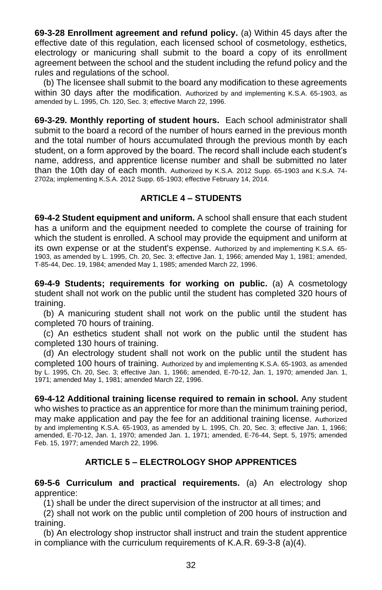**69-3-28 Enrollment agreement and refund policy.** (a) Within 45 days after the effective date of this regulation, each licensed school of cosmetology, esthetics, electrology or manicuring shall submit to the board a copy of its enrollment agreement between the school and the student including the refund policy and the rules and regulations of the school.

(b) The licensee shall submit to the board any modification to these agreements within 30 days after the modification. Authorized by and implementing K.S.A. 65-1903, as amended by L. 1995, Ch. 120, Sec. 3; effective March 22, 1996.

**69-3-29. Monthly reporting of student hours.** Each school administrator shall submit to the board a record of the number of hours earned in the previous month and the total number of hours accumulated through the previous month by each student, on a form approved by the board. The record shall include each student's name, address, and apprentice license number and shall be submitted no later than the 10th day of each month. Authorized by K.S.A. 2012 Supp. 65-1903 and K.S.A. 74- 2702a; implementing K.S.A. 2012 Supp. 65-1903; effective February 14, 2014.

### **ARTICLE 4 – STUDENTS**

<span id="page-37-0"></span>**69-4-2 Student equipment and uniform.** A school shall ensure that each student has a uniform and the equipment needed to complete the course of training for which the student is enrolled. A school may provide the equipment and uniform at its own expense or at the student's expense. Authorized by and implementing K.S.A. 65- 1903, as amended by L. 1995, Ch. 20, Sec. 3; effective Jan. 1, 1966; amended May 1, 1981; amended, T-85-44, Dec. 19, 1984; amended May 1, 1985; amended March 22, 1996.

<span id="page-37-1"></span>**69-4-9 Students; requirements for working on public.** (a) A cosmetology student shall not work on the public until the student has completed 320 hours of training.

(b) A manicuring student shall not work on the public until the student has completed 70 hours of training.

(c) An esthetics student shall not work on the public until the student has completed 130 hours of training.

(d) An electrology student shall not work on the public until the student has completed 100 hours of training. Authorized by and implementing K.S.A. 65-1903, as amended by L. 1995, Ch. 20, Sec. 3; effective Jan. 1, 1966; amended, E-70-12, Jan. 1, 1970; amended Jan. 1, 1971; amended May 1, 1981; amended March 22, 1996.

<span id="page-37-2"></span>**69-4-12 Additional training license required to remain in school.** Any student who wishes to practice as an apprentice for more than the minimum training period, may make application and pay the fee for an additional training license. Authorized by and implementing K.S.A. 65-1903, as amended by L. 1995, Ch. 20, Sec. 3; effective Jan. 1, 1966; amended, E-70-12, Jan. 1, 1970; amended Jan. 1, 1971; amended, E-76-44, Sept. 5, 1975; amended Feb. 15, 1977; amended March 22, 1996.

#### **ARTICLE 5 – ELECTROLOGY SHOP APPRENTICES**

<span id="page-37-3"></span>**69-5-6 Curriculum and practical requirements.** (a) An electrology shop apprentice:

(1) shall be under the direct supervision of the instructor at all times; and

(2) shall not work on the public until completion of 200 hours of instruction and training.

(b) An electrology shop instructor shall instruct and train the student apprentice in compliance with the curriculum requirements of K.A.R. 69-3-8 (a)(4).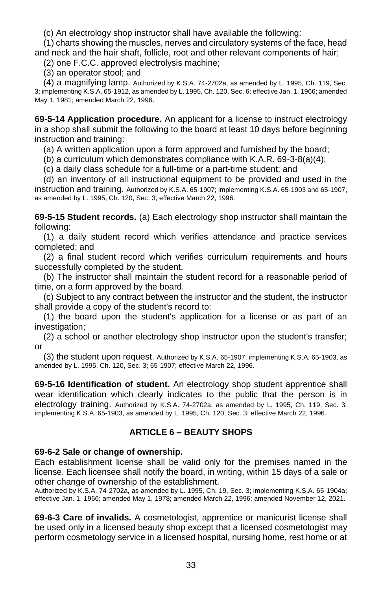(c) An electrology shop instructor shall have available the following:

(1) charts showing the muscles, nerves and circulatory systems of the face, head and neck and the hair shaft, follicle, root and other relevant components of hair;

(2) one F.C.C. approved electrolysis machine;

(3) an operator stool; and

(4) a magnifying lamp. Authorized by K.S.A. 74-2702a, as amended by L. 1995, Ch. 119, Sec. 3; implementing K.S.A. 65-1912, as amended by L. 1995, Ch. 120, Sec. 6; effective Jan. 1, 1966; amended May 1, 1981; amended March 22, 1996.

<span id="page-38-0"></span>**69-5-14 Application procedure.** An applicant for a license to instruct electrology in a shop shall submit the following to the board at least 10 days before beginning instruction and training:

(a) A written application upon a form approved and furnished by the board;

(b) a curriculum which demonstrates compliance with K.A.R. 69-3-8(a)(4);

(c) a daily class schedule for a full-time or a part-time student; and

(d) an inventory of all instructional equipment to be provided and used in the instruction and training. Authorized by K.S.A. 65-1907; implementing K.S.A. 65-1903 and 65-1907, as amended by L. 1995, Ch. 120, Sec. 3; effective March 22, 1996.

<span id="page-38-1"></span>**69-5-15 Student records.** (a) Each electrology shop instructor shall maintain the following:

(1) a daily student record which verifies attendance and practice services completed; and

(2) a final student record which verifies curriculum requirements and hours successfully completed by the student.

(b) The instructor shall maintain the student record for a reasonable period of time, on a form approved by the board.

(c) Subject to any contract between the instructor and the student, the instructor shall provide a copy of the student's record to:

(1) the board upon the student's application for a license or as part of an investigation;

(2) a school or another electrology shop instructor upon the student's transfer; or

(3) the student upon request. Authorized by K.S.A. 65-1907; implementing K.S.A. 65-1903, as amended by L. 1995, Ch. 120, Sec. 3; 65-1907; effective March 22, 1996.

<span id="page-38-2"></span>**69-5-16 Identification of student.** An electrology shop student apprentice shall wear identification which clearly indicates to the public that the person is in electrology training. Authorized by K.S.A. 74-2702a, as amended by L. 1995, Ch. 119, Sec. 3; implementing K.S.A. 65-1903, as amended by L. 1995, Ch. 120, Sec. 3; effective March 22, 1996.

#### **ARTICLE 6 – BEAUTY SHOPS**

#### <span id="page-38-3"></span>**69-6-2 Sale or change of ownership.**

Each establishment license shall be valid only for the premises named in the license. Each licensee shall notify the board, in writing, within 15 days of a sale or other change of ownership of the establishment.

Authorized by K.S.A. 74-2702a, as amended by L. 1995, Ch. 19, Sec. 3; implementing K.S.A. 65-1904a; effective Jan. 1, 1966; amended May 1, 1978; amended March 22, 1996; amended November 12, 2021.

<span id="page-38-4"></span>**69-6-3 Care of invalids.** A cosmetologist, apprentice or manicurist license shall be used only in a licensed beauty shop except that a licensed cosmetologist may perform cosmetology service in a licensed hospital, nursing home, rest home or at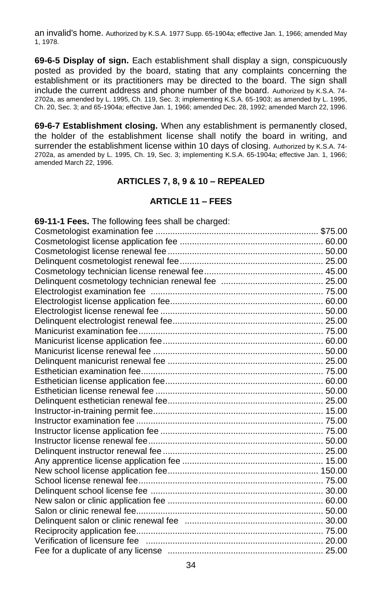an invalid's home. Authorized by K.S.A. 1977 Supp. 65-1904a; effective Jan. 1, 1966; amended May 1, 1978.

<span id="page-39-0"></span>**69-6-5 Display of sign.** Each establishment shall display a sign, conspicuously posted as provided by the board, stating that any complaints concerning the establishment or its practitioners may be directed to the board. The sign shall include the current address and phone number of the board. Authorized by K.S.A. 74- 2702a, as amended by L. 1995, Ch. 119, Sec. 3; implementing K.S.A. 65-1903; as amended by L. 1995, Ch. 20, Sec. 3; and 65-1904a; effective Jan. 1, 1966; amended Dec. 28, 1992; amended March 22, 1996.

<span id="page-39-2"></span><span id="page-39-1"></span>**69-6-7 Establishment closing.** When any establishment is permanently closed, the holder of the establishment license shall notify the board in writing, and surrender the establishment license within 10 days of closing. Authorized by K.S.A. 74- 2702a, as amended by L. 1995, Ch. 19, Sec. 3; implementing K.S.A. 65-1904a; effective Jan. 1, 1966; amended March 22, 1996.

#### **ARTICLES 7, 8, 9 & 10 – REPEALED**

#### **ARTICLE 11 – FEES**

| 69-11-1 Fees. The following fees shall be charged: |  |
|----------------------------------------------------|--|
|                                                    |  |
|                                                    |  |
|                                                    |  |
|                                                    |  |
|                                                    |  |
|                                                    |  |
|                                                    |  |
|                                                    |  |
|                                                    |  |
|                                                    |  |
|                                                    |  |
|                                                    |  |
|                                                    |  |
|                                                    |  |
|                                                    |  |
|                                                    |  |
|                                                    |  |
|                                                    |  |
|                                                    |  |
|                                                    |  |
|                                                    |  |
|                                                    |  |
|                                                    |  |
|                                                    |  |
|                                                    |  |
|                                                    |  |
|                                                    |  |
|                                                    |  |
|                                                    |  |
|                                                    |  |
|                                                    |  |
|                                                    |  |
|                                                    |  |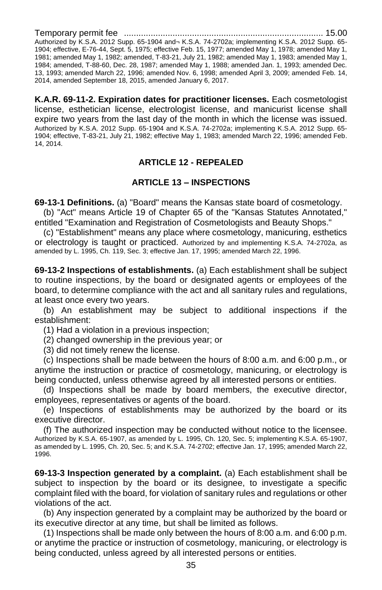Temporary permit fee .................................................................................. 15.00

Authorized by K.S.A. 2012 Supp. 65-1904 and¬ K.S.A. 74-2702a; implementing K.S.A. 2012 Supp. 65- 1904; effective, E-76-44, Sept. 5, 1975; effective Feb. 15, 1977; amended May 1, 1978; amended May 1, 1981; amended May 1, 1982; amended, T-83-21, July 21, 1982; amended May 1, 1983; amended May 1, 1984; amended, T-88-60, Dec. 28, 1987; amended May 1, 1988; amended Jan. 1, 1993; amended Dec. 13, 1993; amended March 22, 1996; amended Nov. 6, 1998; amended April 3, 2009; amended Feb. 14, 2014, amended September 18, 2015, amended January 6, 2017.

<span id="page-40-0"></span>**K.A.R. 69-11-2. Expiration dates for practitioner licenses.** Each cosmetologist license, esthetician license, electrologist license, and manicurist license shall expire two years from the last day of the month in which the license was issued. Authorized by K.S.A. 2012 Supp. 65-1904 and K.S.A. 74-2702a; implementing K.S.A. 2012 Supp. 65- 1904; effective, T-83-21, July 21, 1982; effective May 1, 1983; amended March 22, 1996; amended Feb. 14, 2014.

#### **ARTICLE 12 - REPEALED**

#### **ARTICLE 13 – INSPECTIONS**

<span id="page-40-1"></span>**69-13-1 Definitions.** (a) "Board" means the Kansas state board of cosmetology.

(b) "Act" means Article 19 of Chapter 65 of the "Kansas Statutes Annotated," entitled "Examination and Registration of Cosmetologists and Beauty Shops."

(c) "Establishment" means any place where cosmetology, manicuring, esthetics or electrology is taught or practiced. Authorized by and implementing K.S.A. 74-2702a, as amended by L. 1995, Ch. 119, Sec. 3; effective Jan. 17, 1995; amended March 22, 1996.

<span id="page-40-2"></span>**69-13-2 Inspections of establishments.** (a) Each establishment shall be subject to routine inspections, by the board or designated agents or employees of the board, to determine compliance with the act and all sanitary rules and regulations, at least once every two years.

(b) An establishment may be subject to additional inspections if the establishment:

(1) Had a violation in a previous inspection;

(2) changed ownership in the previous year; or

(3) did not timely renew the license.

(c) Inspections shall be made between the hours of 8:00 a.m. and 6:00 p.m., or anytime the instruction or practice of cosmetology, manicuring, or electrology is being conducted, unless otherwise agreed by all interested persons or entities.

(d) Inspections shall be made by board members, the executive director, employees, representatives or agents of the board.

(e) Inspections of establishments may be authorized by the board or its executive director.

(f) The authorized inspection may be conducted without notice to the licensee. Authorized by K.S.A. 65-1907, as amended by L. 1995, Ch. 120, Sec. 5; implementing K.S.A. 65-1907, as amended by L. 1995, Ch. 20, Sec. 5; and K.S.A. 74-2702; effective Jan. 17, 1995; amended March 22, 1996.

<span id="page-40-3"></span>**69-13-3 Inspection generated by a complaint.** (a) Each establishment shall be subject to inspection by the board or its designee, to investigate a specific complaint filed with the board, for violation of sanitary rules and regulations or other violations of the act.

(b) Any inspection generated by a complaint may be authorized by the board or its executive director at any time, but shall be limited as follows.

(1) Inspections shall be made only between the hours of 8:00 a.m. and 6:00 p.m. or anytime the practice or instruction of cosmetology, manicuring, or electrology is being conducted, unless agreed by all interested persons or entities.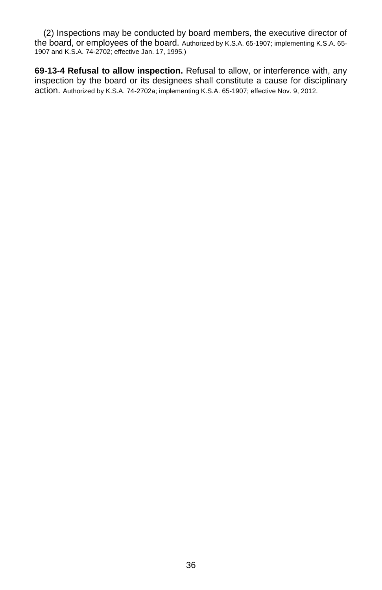(2) Inspections may be conducted by board members, the executive director of the board, or employees of the board. Authorized by K.S.A. 65-1907; implementing K.S.A. 65- 1907 and K.S.A. 74-2702; effective Jan. 17, 1995.)

<span id="page-41-0"></span>**69-13-4 Refusal to allow inspection.** Refusal to allow, or interference with, any inspection by the board or its designees shall constitute a cause for disciplinary action. Authorized by K.S.A. 74-2702a; implementing K.S.A. 65-1907; effective Nov. 9, 2012.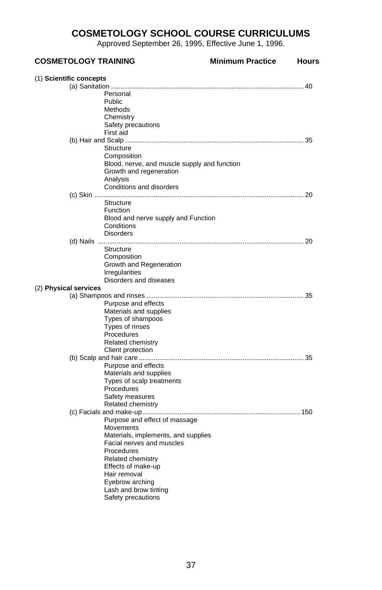## **COSMETOLOGY SCHOOL COURSE CURRICULUMS**

Approved September 26, 1995, Effective June 1, 1996.

<span id="page-42-1"></span><span id="page-42-0"></span>

| <b>COSMETOLOGY TRAINING</b>                  | <b>Minimum Practice</b> | <b>Hours</b> |
|----------------------------------------------|-------------------------|--------------|
| (1) Scientific concepts                      |                         |              |
|                                              |                         |              |
| Personal                                     |                         |              |
| Public                                       |                         |              |
| Methods                                      |                         |              |
| Chemistry                                    |                         |              |
| Safety precautions                           |                         |              |
| First aid                                    |                         |              |
|                                              |                         |              |
| Structure                                    |                         |              |
| Composition                                  |                         |              |
| Blood, nerve, and muscle supply and function |                         |              |
| Growth and regeneration                      |                         |              |
| Analysis                                     |                         |              |
| Conditions and disorders                     |                         |              |
|                                              |                         |              |
| Structure                                    |                         |              |
| <b>Function</b>                              |                         |              |
| Blood and nerve supply and Function          |                         |              |
| Conditions                                   |                         |              |
| <b>Disorders</b>                             |                         |              |
|                                              |                         |              |
| Structure                                    |                         |              |
| Composition<br>Growth and Regeneration       |                         |              |
| Irregularities                               |                         |              |
| Disorders and diseases                       |                         |              |
| (2) Physical services                        |                         |              |
|                                              |                         |              |
| Purpose and effects                          |                         |              |
| Materials and supplies                       |                         |              |
| Types of shampoos                            |                         |              |
| Types of rinses                              |                         |              |
| Procedures                                   |                         |              |
| Related chemistry                            |                         |              |
| Client protection                            |                         |              |
|                                              |                         |              |
| Purpose and effects                          |                         |              |
| Materials and supplies                       |                         |              |
| Types of scalp treatments                    |                         |              |
| Procedures                                   |                         |              |
| Safety measures                              |                         |              |
| Related chemistry                            |                         |              |
|                                              |                         |              |
| Purpose and effect of massage                |                         |              |
| Movements                                    |                         |              |
| Materials, implements, and supplies          |                         |              |
| Facial nerves and muscles                    |                         |              |
| Procedures                                   |                         |              |
| Related chemistry                            |                         |              |
| Effects of make-up                           |                         |              |
| Hair removal                                 |                         |              |
| Eyebrow arching                              |                         |              |
| Lash and brow tinting                        |                         |              |
| Safety precautions                           |                         |              |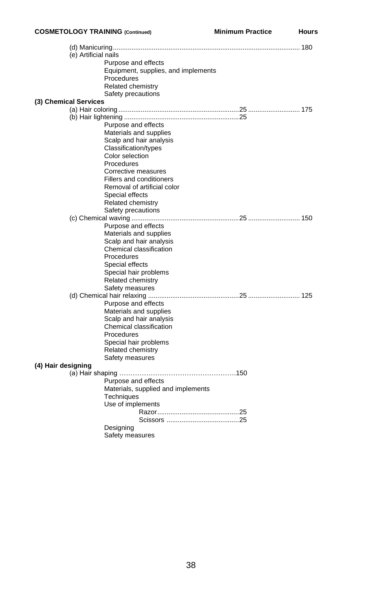#### **COSMETOLOGY TRAINING (Continued) Minimum Practice Hours**

|                    | (e) Artificial nails                    |  |
|--------------------|-----------------------------------------|--|
|                    | Purpose and effects                     |  |
|                    | Equipment, supplies, and implements     |  |
|                    | Procedures                              |  |
|                    | <b>Related chemistry</b>                |  |
|                    | Safety precautions                      |  |
|                    | (3) Chemical Services                   |  |
|                    |                                         |  |
|                    |                                         |  |
|                    | Purpose and effects                     |  |
|                    | Materials and supplies                  |  |
|                    | Scalp and hair analysis                 |  |
|                    | Classification/types                    |  |
|                    | Color selection                         |  |
|                    | Procedures                              |  |
|                    | Corrective measures                     |  |
|                    | <b>Fillers and conditioners</b>         |  |
|                    | Removal of artificial color             |  |
|                    | Special effects                         |  |
|                    | Related chemistry<br>Safety precautions |  |
|                    |                                         |  |
|                    | Purpose and effects                     |  |
|                    | Materials and supplies                  |  |
|                    | Scalp and hair analysis                 |  |
|                    | Chemical classification                 |  |
|                    | Procedures                              |  |
|                    | Special effects                         |  |
|                    | Special hair problems                   |  |
|                    | <b>Related chemistry</b>                |  |
|                    | Safety measures                         |  |
|                    |                                         |  |
|                    | Purpose and effects                     |  |
|                    | Materials and supplies                  |  |
|                    | Scalp and hair analysis                 |  |
|                    | Chemical classification                 |  |
|                    | Procedures                              |  |
|                    | Special hair problems                   |  |
|                    | Related chemistry                       |  |
|                    | Safety measures                         |  |
| (4) Hair designing |                                         |  |
|                    |                                         |  |
|                    | Purpose and effects                     |  |
|                    | Materials, supplied and implements      |  |
|                    | <b>Techniques</b>                       |  |
|                    | Use of implements                       |  |
|                    |                                         |  |
|                    |                                         |  |
|                    | Designing                               |  |
|                    | Safety measures                         |  |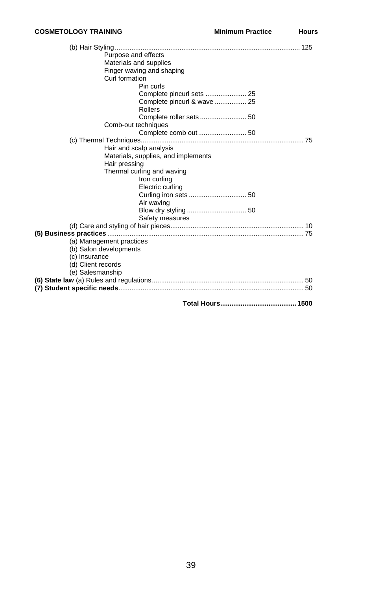| Purpose and effects                 |  |
|-------------------------------------|--|
| Materials and supplies              |  |
| Finger waving and shaping           |  |
| Curl formation                      |  |
| Pin curls                           |  |
| Complete pincurl sets  25           |  |
| Complete pincurl & wave  25         |  |
| Rollers                             |  |
|                                     |  |
| Comb-out techniques                 |  |
|                                     |  |
|                                     |  |
| Hair and scalp analysis             |  |
| Materials, supplies, and implements |  |
| Hair pressing                       |  |
| Thermal curling and waving          |  |
| Iron curling                        |  |
| Electric curling                    |  |
|                                     |  |
| Air waving                          |  |
|                                     |  |
| Safety measures                     |  |
|                                     |  |
|                                     |  |
| (a) Management practices            |  |
| (b) Salon developments              |  |
| (c) Insurance                       |  |
| (d) Client records                  |  |
| (e) Salesmanship                    |  |
|                                     |  |
|                                     |  |
|                                     |  |
|                                     |  |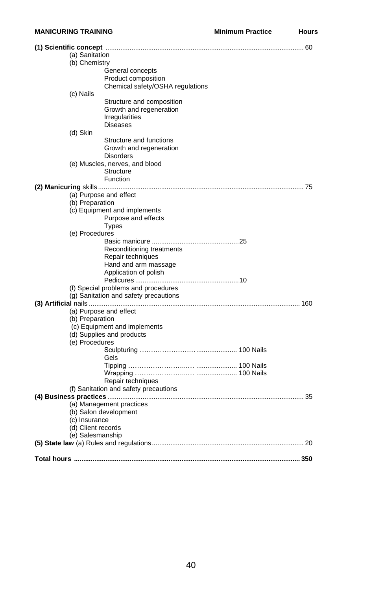<span id="page-45-0"></span>

| (a) Sanitation     |                                                    |  |
|--------------------|----------------------------------------------------|--|
| (b) Chemistry      | General concepts                                   |  |
|                    | Product composition                                |  |
|                    | Chemical safety/OSHA regulations                   |  |
| (c) Nails          |                                                    |  |
|                    | Structure and composition                          |  |
|                    | Growth and regeneration                            |  |
|                    | <b>Irregularities</b>                              |  |
|                    | <b>Diseases</b>                                    |  |
| (d) Skin           |                                                    |  |
|                    | Structure and functions                            |  |
|                    | Growth and regeneration                            |  |
|                    | <b>Disorders</b>                                   |  |
|                    | (e) Muscles, nerves, and blood<br><b>Structure</b> |  |
|                    | Function                                           |  |
|                    |                                                    |  |
|                    | (a) Purpose and effect                             |  |
| (b) Preparation    |                                                    |  |
|                    | (c) Equipment and implements                       |  |
|                    | Purpose and effects                                |  |
|                    | <b>Types</b>                                       |  |
| (e) Procedures     |                                                    |  |
|                    |                                                    |  |
|                    | Reconditioning treatments                          |  |
|                    | Repair techniques<br>Hand and arm massage          |  |
|                    | Application of polish                              |  |
|                    |                                                    |  |
|                    | (f) Special problems and procedures                |  |
|                    | (g) Sanitation and safety precautions              |  |
|                    |                                                    |  |
|                    | (a) Purpose and effect                             |  |
| (b) Preparation    |                                                    |  |
|                    | (c) Equipment and implements                       |  |
|                    | (d) Supplies and products                          |  |
| (e) Procedures     |                                                    |  |
|                    | Gels                                               |  |
|                    |                                                    |  |
|                    |                                                    |  |
|                    | Repair techniques                                  |  |
|                    | (f) Sanitation and safety precautions              |  |
|                    |                                                    |  |
|                    | (a) Management practices                           |  |
|                    | (b) Salon development                              |  |
| (c) Insurance      |                                                    |  |
| (d) Client records |                                                    |  |
| (e) Salesmanship   |                                                    |  |
|                    |                                                    |  |
|                    |                                                    |  |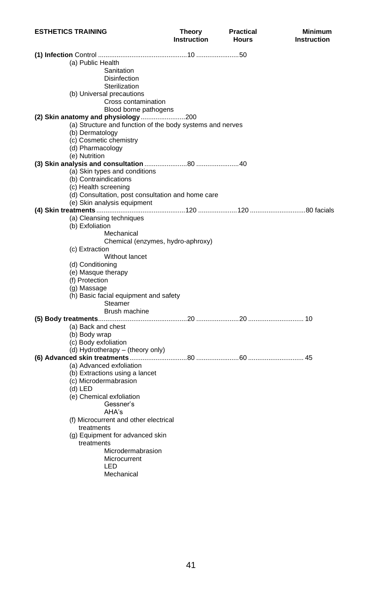<span id="page-46-0"></span>

| <b>ESTHETICS TRAINING</b>                                 | Theory<br><b>Instruction</b> | <b>Practical</b><br><b>Hours</b> | <b>Minimum</b><br><b>Instruction</b> |
|-----------------------------------------------------------|------------------------------|----------------------------------|--------------------------------------|
|                                                           |                              |                                  |                                      |
| (a) Public Health                                         |                              |                                  |                                      |
| Sanitation                                                |                              |                                  |                                      |
| <b>Disinfection</b>                                       |                              |                                  |                                      |
| Sterilization                                             |                              |                                  |                                      |
| (b) Universal precautions                                 |                              |                                  |                                      |
| Cross contamination                                       |                              |                                  |                                      |
| Blood borne pathogens                                     |                              |                                  |                                      |
|                                                           |                              |                                  |                                      |
| (a) Structure and function of the body systems and nerves |                              |                                  |                                      |
| (b) Dermatology                                           |                              |                                  |                                      |
| (c) Cosmetic chemistry                                    |                              |                                  |                                      |
| (d) Pharmacology                                          |                              |                                  |                                      |
| (e) Nutrition                                             |                              |                                  |                                      |
|                                                           |                              |                                  |                                      |
| (a) Skin types and conditions                             |                              |                                  |                                      |
| (b) Contraindications                                     |                              |                                  |                                      |
| (c) Health screening                                      |                              |                                  |                                      |
| (d) Consultation, post consultation and home care         |                              |                                  |                                      |
| (e) Skin analysis equipment                               |                              |                                  |                                      |
|                                                           |                              |                                  |                                      |
| (a) Cleansing techniques<br>(b) Exfoliation               |                              |                                  |                                      |
| Mechanical                                                |                              |                                  |                                      |
| Chemical (enzymes, hydro-aphroxy)                         |                              |                                  |                                      |
| (c) Extraction                                            |                              |                                  |                                      |
| Without lancet                                            |                              |                                  |                                      |
| (d) Conditioning                                          |                              |                                  |                                      |
| (e) Masque therapy                                        |                              |                                  |                                      |
| (f) Protection                                            |                              |                                  |                                      |
| (g) Massage                                               |                              |                                  |                                      |
| (h) Basic facial equipment and safety                     |                              |                                  |                                      |
| Steamer                                                   |                              |                                  |                                      |
| Brush machine                                             |                              |                                  |                                      |
|                                                           |                              |                                  |                                      |
| (a) Back and chest                                        |                              |                                  |                                      |
| (b) Body wrap                                             |                              |                                  |                                      |
| (c) Body exfoliation                                      |                              |                                  |                                      |
| (d) Hydrotherapy - (theory only)                          |                              |                                  |                                      |
|                                                           |                              |                                  |                                      |
| (a) Advanced exfoliation                                  |                              |                                  |                                      |
| (b) Extractions using a lancet                            |                              |                                  |                                      |
| (c) Microdermabrasion                                     |                              |                                  |                                      |
| (d) LED                                                   |                              |                                  |                                      |
| (e) Chemical exfoliation                                  |                              |                                  |                                      |
| Gessner's                                                 |                              |                                  |                                      |
| AHA's                                                     |                              |                                  |                                      |
| (f) Microcurrent and other electrical                     |                              |                                  |                                      |
| treatments                                                |                              |                                  |                                      |
| (g) Equipment for advanced skin                           |                              |                                  |                                      |
| treatments<br>Microdermabrasion                           |                              |                                  |                                      |
| Microcurrent                                              |                              |                                  |                                      |
| LED                                                       |                              |                                  |                                      |
| Mechanical                                                |                              |                                  |                                      |
|                                                           |                              |                                  |                                      |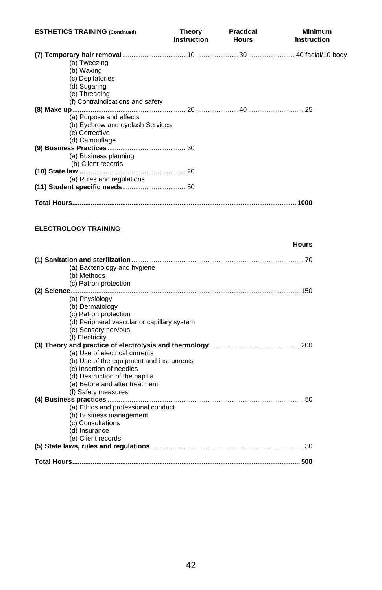<span id="page-47-0"></span>

| <b>ESTHETICS TRAINING (Continued)</b>                                | Theory<br><b>Instruction</b> | Practical<br><b>Hours</b> | <b>Minimum</b><br>Instruction |
|----------------------------------------------------------------------|------------------------------|---------------------------|-------------------------------|
|                                                                      |                              |                           |                               |
| (a) Tweezing                                                         |                              |                           |                               |
| (b) Waxing                                                           |                              |                           |                               |
| (c) Depilatories                                                     |                              |                           |                               |
| (d) Sugaring                                                         |                              |                           |                               |
| (e) Threading                                                        |                              |                           |                               |
| (f) Contraindications and safety                                     |                              |                           |                               |
|                                                                      |                              |                           |                               |
| (a) Purpose and effects                                              |                              |                           |                               |
| (b) Eyebrow and eyelash Services                                     |                              |                           |                               |
| (c) Corrective                                                       |                              |                           |                               |
| (d) Camouflage                                                       |                              |                           |                               |
|                                                                      |                              |                           |                               |
| (a) Business planning                                                |                              |                           |                               |
| (b) Client records                                                   |                              |                           |                               |
|                                                                      |                              |                           |                               |
| (a) Rules and regulations                                            |                              |                           |                               |
|                                                                      |                              |                           |                               |
|                                                                      |                              |                           |                               |
|                                                                      |                              |                           |                               |
|                                                                      |                              |                           | Hours                         |
| (a) Bacteriology and hygiene                                         |                              |                           |                               |
| (b) Methods                                                          |                              |                           |                               |
| (c) Patron protection                                                |                              |                           |                               |
|                                                                      |                              |                           |                               |
| (a) Physiology                                                       |                              |                           |                               |
| (b) Dermatology                                                      |                              |                           |                               |
|                                                                      |                              |                           |                               |
| (c) Patron protection<br>(d) Peripheral vascular or capillary system |                              |                           |                               |
|                                                                      |                              |                           |                               |
| (e) Sensory nervous<br>(f) Electricity                               |                              |                           |                               |
|                                                                      |                              |                           |                               |
| (a) Use of electrical currents                                       |                              |                           |                               |
|                                                                      |                              |                           |                               |
| (b) Use of the equipment and instruments<br>(c) Insertion of needles |                              |                           |                               |
|                                                                      |                              |                           |                               |
| (d) Destruction of the papilla                                       |                              |                           |                               |
| (e) Before and after treatment                                       |                              |                           |                               |
| (f) Safety measures                                                  |                              |                           |                               |
|                                                                      |                              |                           |                               |
| (a) Ethics and professional conduct                                  |                              |                           |                               |
| (b) Business management                                              |                              |                           |                               |
| (c) Consultations                                                    |                              |                           |                               |
| (d) Insurance                                                        |                              |                           |                               |
| (e) Client records                                                   |                              |                           |                               |
|                                                                      |                              |                           |                               |
|                                                                      |                              |                           |                               |
|                                                                      |                              |                           |                               |